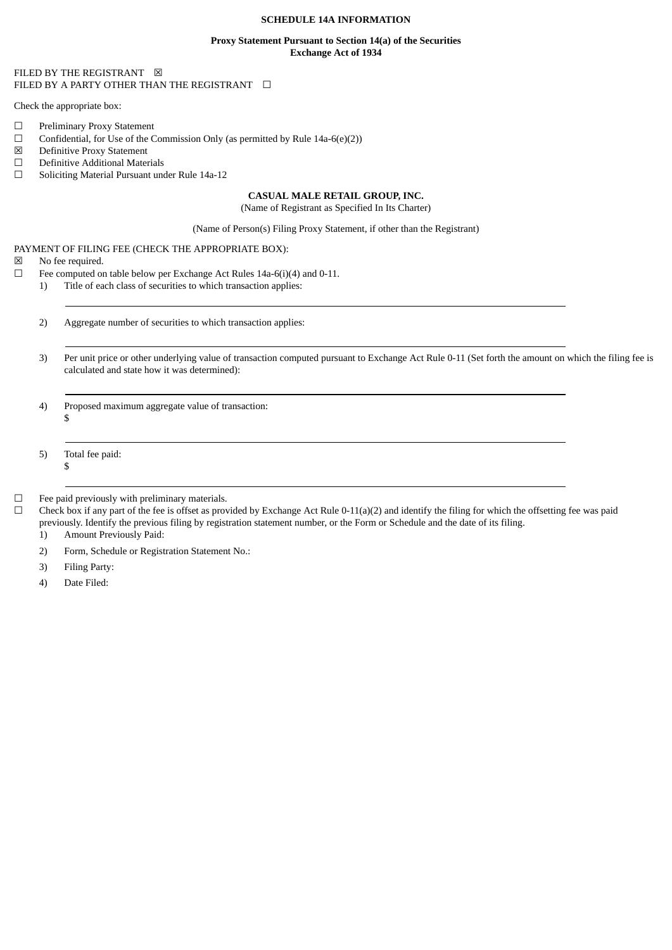### **SCHEDULE 14A INFORMATION**

#### **Proxy Statement Pursuant to Section 14(a) of the Securities Exchange Act of 1934**

### FILED BY THE REGISTRANT  $\boxtimes$ FILED BY A PARTY OTHER THAN THE REGISTRANT  $\Box$

Check the appropriate box:

- ☐ Preliminary Proxy Statement
- $\Box$  Confidential, for Use of the Commission Only (as permitted by Rule 14a-6(e)(2))
- ☒ Definitive Proxy Statement
- ☐ Definitive Additional Materials
- ☐ Soliciting Material Pursuant under Rule 14a-12

### **CASUAL MALE RETAIL GROUP, INC.**

(Name of Registrant as Specified In Its Charter)

(Name of Person(s) Filing Proxy Statement, if other than the Registrant)

#### PAYMENT OF FILING FEE (CHECK THE APPROPRIATE BOX):

☒ No fee required.

L

 $\overline{a}$ 

L

 $\overline{a}$ 

L

- ☐ Fee computed on table below per Exchange Act Rules 14a-6(i)(4) and 0-11.
	- 1) Title of each class of securities to which transaction applies:
		- 2) Aggregate number of securities to which transaction applies:
		- 3) Per unit price or other underlying value of transaction computed pursuant to Exchange Act Rule 0-11 (Set forth the amount on which the filing fee is calculated and state how it was determined):
		- 4) Proposed maximum aggregate value of transaction: \$
		- 5) Total fee paid: \$

☐ Fee paid previously with preliminary materials.

 $\Box$  Check box if any part of the fee is offset as provided by Exchange Act Rule 0-11(a)(2) and identify the filing for which the offsetting fee was paid previously. Identify the previous filing by registration statement number, or the Form or Schedule and the date of its filing.

- 1) Amount Previously Paid:
- 2) Form, Schedule or Registration Statement No.:
- 3) Filing Party:
- 4) Date Filed: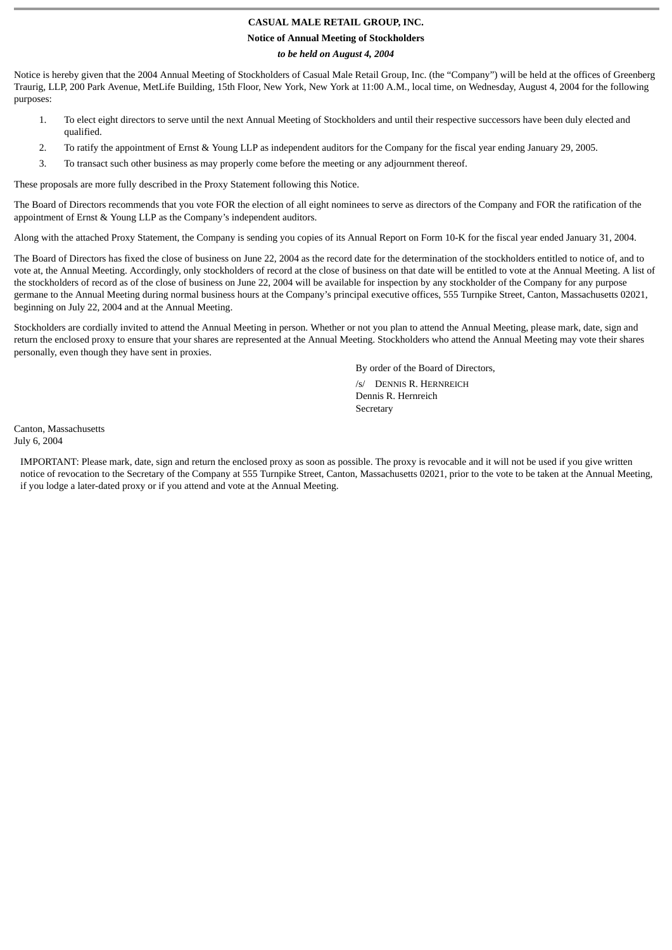# **CASUAL MALE RETAIL GROUP, INC.**

**Notice of Annual Meeting of Stockholders**

*to be held on August 4, 2004*

Notice is hereby given that the 2004 Annual Meeting of Stockholders of Casual Male Retail Group, Inc. (the "Company") will be held at the offices of Greenberg Traurig, LLP, 200 Park Avenue, MetLife Building, 15th Floor, New York, New York at 11:00 A.M., local time, on Wednesday, August 4, 2004 for the following purposes:

- 1. To elect eight directors to serve until the next Annual Meeting of Stockholders and until their respective successors have been duly elected and qualified.
- 2. To ratify the appointment of Ernst & Young LLP as independent auditors for the Company for the fiscal year ending January 29, 2005.
- 3. To transact such other business as may properly come before the meeting or any adjournment thereof.

These proposals are more fully described in the Proxy Statement following this Notice.

The Board of Directors recommends that you vote FOR the election of all eight nominees to serve as directors of the Company and FOR the ratification of the appointment of Ernst & Young LLP as the Company's independent auditors.

Along with the attached Proxy Statement, the Company is sending you copies of its Annual Report on Form 10-K for the fiscal year ended January 31, 2004.

The Board of Directors has fixed the close of business on June 22, 2004 as the record date for the determination of the stockholders entitled to notice of, and to vote at, the Annual Meeting. Accordingly, only stockholders of record at the close of business on that date will be entitled to vote at the Annual Meeting. A list of the stockholders of record as of the close of business on June 22, 2004 will be available for inspection by any stockholder of the Company for any purpose germane to the Annual Meeting during normal business hours at the Company's principal executive offices, 555 Turnpike Street, Canton, Massachusetts 02021, beginning on July 22, 2004 and at the Annual Meeting.

Stockholders are cordially invited to attend the Annual Meeting in person. Whether or not you plan to attend the Annual Meeting, please mark, date, sign and return the enclosed proxy to ensure that your shares are represented at the Annual Meeting. Stockholders who attend the Annual Meeting may vote their shares personally, even though they have sent in proxies.

> By order of the Board of Directors, /s/ DENNIS R. HERNREICH Dennis R. Hernreich **Secretary**

Canton, Massachusetts July 6, 2004

IMPORTANT: Please mark, date, sign and return the enclosed proxy as soon as possible. The proxy is revocable and it will not be used if you give written notice of revocation to the Secretary of the Company at 555 Turnpike Street, Canton, Massachusetts 02021, prior to the vote to be taken at the Annual Meeting, if you lodge a later-dated proxy or if you attend and vote at the Annual Meeting.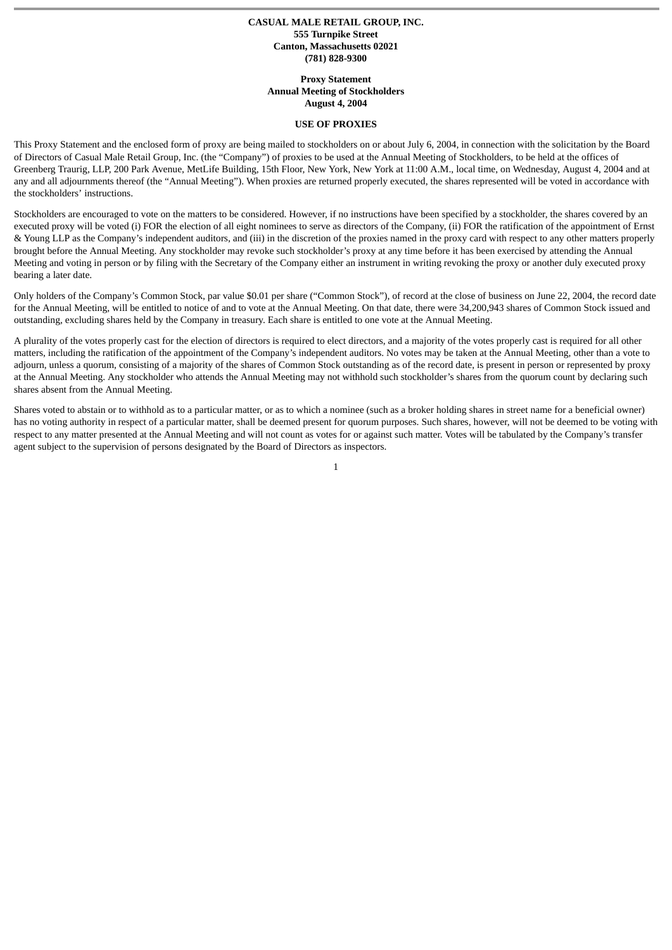### **CASUAL MALE RETAIL GROUP, INC. 555 Turnpike Street Canton, Massachusetts 02021 (781) 828-9300**

**Proxy Statement Annual Meeting of Stockholders August 4, 2004**

#### **USE OF PROXIES**

This Proxy Statement and the enclosed form of proxy are being mailed to stockholders on or about July 6, 2004, in connection with the solicitation by the Board of Directors of Casual Male Retail Group, Inc. (the "Company") of proxies to be used at the Annual Meeting of Stockholders, to be held at the offices of Greenberg Traurig, LLP, 200 Park Avenue, MetLife Building, 15th Floor, New York, New York at 11:00 A.M., local time, on Wednesday, August 4, 2004 and at any and all adjournments thereof (the "Annual Meeting"). When proxies are returned properly executed, the shares represented will be voted in accordance with the stockholders' instructions.

Stockholders are encouraged to vote on the matters to be considered. However, if no instructions have been specified by a stockholder, the shares covered by an executed proxy will be voted (i) FOR the election of all eight nominees to serve as directors of the Company, (ii) FOR the ratification of the appointment of Ernst & Young LLP as the Company's independent auditors, and (iii) in the discretion of the proxies named in the proxy card with respect to any other matters properly brought before the Annual Meeting. Any stockholder may revoke such stockholder's proxy at any time before it has been exercised by attending the Annual Meeting and voting in person or by filing with the Secretary of the Company either an instrument in writing revoking the proxy or another duly executed proxy bearing a later date.

Only holders of the Company's Common Stock, par value \$0.01 per share ("Common Stock"), of record at the close of business on June 22, 2004, the record date for the Annual Meeting, will be entitled to notice of and to vote at the Annual Meeting. On that date, there were 34,200,943 shares of Common Stock issued and outstanding, excluding shares held by the Company in treasury. Each share is entitled to one vote at the Annual Meeting.

A plurality of the votes properly cast for the election of directors is required to elect directors, and a majority of the votes properly cast is required for all other matters, including the ratification of the appointment of the Company's independent auditors. No votes may be taken at the Annual Meeting, other than a vote to adjourn, unless a quorum, consisting of a majority of the shares of Common Stock outstanding as of the record date, is present in person or represented by proxy at the Annual Meeting. Any stockholder who attends the Annual Meeting may not withhold such stockholder's shares from the quorum count by declaring such shares absent from the Annual Meeting.

Shares voted to abstain or to withhold as to a particular matter, or as to which a nominee (such as a broker holding shares in street name for a beneficial owner) has no voting authority in respect of a particular matter, shall be deemed present for quorum purposes. Such shares, however, will not be deemed to be voting with respect to any matter presented at the Annual Meeting and will not count as votes for or against such matter. Votes will be tabulated by the Company's transfer agent subject to the supervision of persons designated by the Board of Directors as inspectors.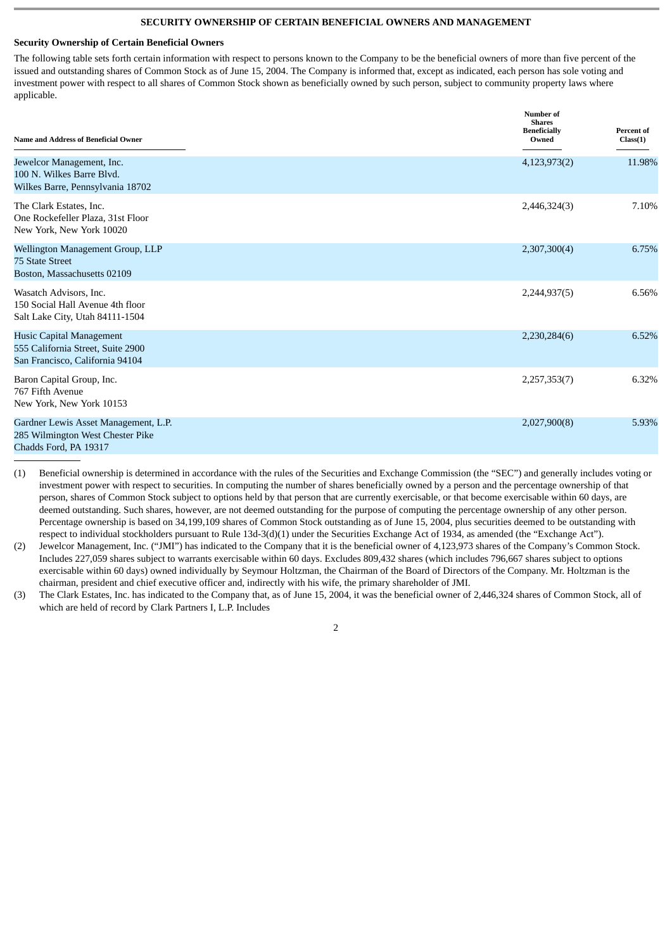### **SECURITY OWNERSHIP OF CERTAIN BENEFICIAL OWNERS AND MANAGEMENT**

### **Security Ownership of Certain Beneficial Owners**

The following table sets forth certain information with respect to persons known to the Company to be the beneficial owners of more than five percent of the issued and outstanding shares of Common Stock as of June 15, 2004. The Company is informed that, except as indicated, each person has sole voting and investment power with respect to all shares of Common Stock shown as beneficially owned by such person, subject to community property laws where applicable.

| <b>Name and Address of Beneficial Owner</b>                                                      | <b>Number of</b><br><b>Shares</b><br><b>Beneficially</b><br>Owned | Percent of<br>Class(1) |
|--------------------------------------------------------------------------------------------------|-------------------------------------------------------------------|------------------------|
| Jewelcor Management, Inc.<br>100 N. Wilkes Barre Blyd.<br>Wilkes Barre, Pennsylvania 18702       | 4,123,973(2)                                                      | 11.98%                 |
| The Clark Estates, Inc.<br>One Rockefeller Plaza, 31st Floor<br>New York, New York 10020         | 2,446,324(3)                                                      | 7.10%                  |
| Wellington Management Group, LLP<br>75 State Street<br>Boston, Massachusetts 02109               | 2,307,300(4)                                                      | 6.75%                  |
| Wasatch Advisors, Inc.<br>150 Social Hall Avenue 4th floor<br>Salt Lake City, Utah 84111-1504    | 2,244,937(5)                                                      | 6.56%                  |
| Husic Capital Management<br>555 California Street, Suite 2900<br>San Francisco, California 94104 | 2,230,284(6)                                                      | 6.52%                  |
| Baron Capital Group, Inc.<br>767 Fifth Avenue<br>New York, New York 10153                        | 2,257,353(7)                                                      | 6.32%                  |
| Gardner Lewis Asset Management, L.P.<br>285 Wilmington West Chester Pike                         | 2,027,900(8)                                                      | 5.93%                  |

Chadds Ford, PA 19317

(1) Beneficial ownership is determined in accordance with the rules of the Securities and Exchange Commission (the "SEC") and generally includes voting or investment power with respect to securities. In computing the number of shares beneficially owned by a person and the percentage ownership of that person, shares of Common Stock subject to options held by that person that are currently exercisable, or that become exercisable within 60 days, are deemed outstanding. Such shares, however, are not deemed outstanding for the purpose of computing the percentage ownership of any other person. Percentage ownership is based on 34,199,109 shares of Common Stock outstanding as of June 15, 2004, plus securities deemed to be outstanding with respect to individual stockholders pursuant to Rule 13d-3(d)(1) under the Securities Exchange Act of 1934, as amended (the "Exchange Act").

(2) Jewelcor Management, Inc. ("JMI") has indicated to the Company that it is the beneficial owner of 4,123,973 shares of the Company's Common Stock. Includes 227,059 shares subject to warrants exercisable within 60 days. Excludes 809,432 shares (which includes 796,667 shares subject to options exercisable within 60 days) owned individually by Seymour Holtzman, the Chairman of the Board of Directors of the Company. Mr. Holtzman is the chairman, president and chief executive officer and, indirectly with his wife, the primary shareholder of JMI.

(3) The Clark Estates, Inc. has indicated to the Company that, as of June 15, 2004, it was the beneficial owner of 2,446,324 shares of Common Stock, all of which are held of record by Clark Partners I, L.P. Includes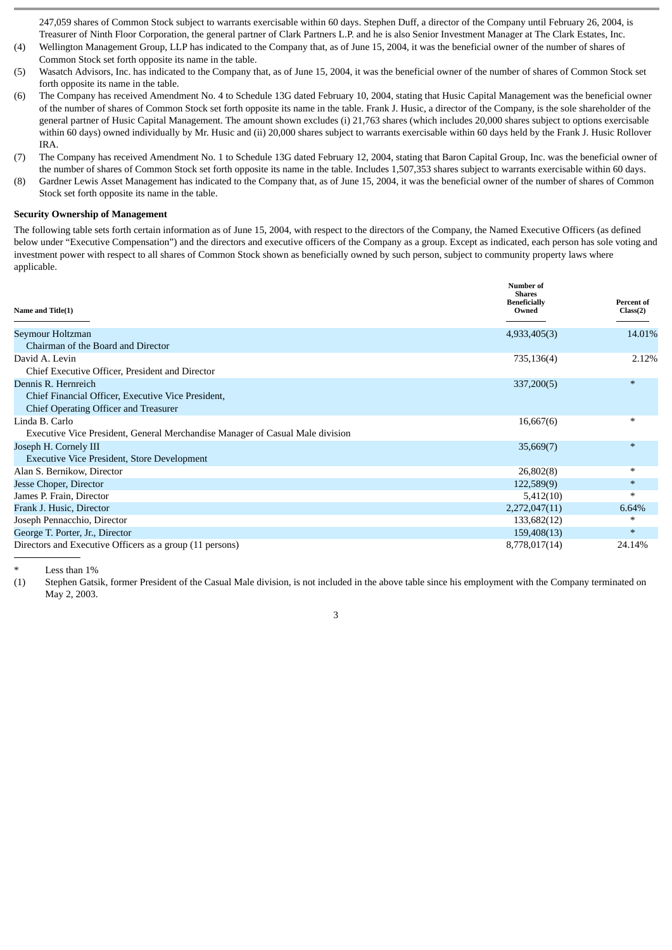247,059 shares of Common Stock subject to warrants exercisable within 60 days. Stephen Duff, a director of the Company until February 26, 2004, is Treasurer of Ninth Floor Corporation, the general partner of Clark Partners L.P. and he is also Senior Investment Manager at The Clark Estates, Inc.

- (4) Wellington Management Group, LLP has indicated to the Company that, as of June 15, 2004, it was the beneficial owner of the number of shares of Common Stock set forth opposite its name in the table.
- (5) Wasatch Advisors, Inc. has indicated to the Company that, as of June 15, 2004, it was the beneficial owner of the number of shares of Common Stock set forth opposite its name in the table.
- (6) The Company has received Amendment No. 4 to Schedule 13G dated February 10, 2004, stating that Husic Capital Management was the beneficial owner of the number of shares of Common Stock set forth opposite its name in the table. Frank J. Husic, a director of the Company, is the sole shareholder of the general partner of Husic Capital Management. The amount shown excludes (i) 21,763 shares (which includes 20,000 shares subject to options exercisable within 60 days) owned individually by Mr. Husic and (ii) 20,000 shares subject to warrants exercisable within 60 days held by the Frank J. Husic Rollover IRA.
- (7) The Company has received Amendment No. 1 to Schedule 13G dated February 12, 2004, stating that Baron Capital Group, Inc. was the beneficial owner of the number of shares of Common Stock set forth opposite its name in the table. Includes 1,507,353 shares subject to warrants exercisable within 60 days.
- (8) Gardner Lewis Asset Management has indicated to the Company that, as of June 15, 2004, it was the beneficial owner of the number of shares of Common Stock set forth opposite its name in the table.

### **Security Ownership of Management**

The following table sets forth certain information as of June 15, 2004, with respect to the directors of the Company, the Named Executive Officers (as defined below under "Executive Compensation") and the directors and executive officers of the Company as a group. Except as indicated, each person has sole voting and investment power with respect to all shares of Common Stock shown as beneficially owned by such person, subject to community property laws where applicable.

| Name and Title(1)                                                             | <b>Number of</b><br><b>Shares</b><br><b>Beneficially</b><br>Owned | Percent of<br>Class(2) |
|-------------------------------------------------------------------------------|-------------------------------------------------------------------|------------------------|
| Seymour Holtzman                                                              | 4,933,405(3)                                                      | 14.01%                 |
| Chairman of the Board and Director                                            |                                                                   |                        |
| David A. Levin                                                                | 735,136(4)                                                        | 2.12%                  |
| Chief Executive Officer, President and Director                               |                                                                   |                        |
| Dennis R. Hernreich                                                           | 337,200(5)                                                        | $\ast$                 |
| Chief Financial Officer, Executive Vice President,                            |                                                                   |                        |
| Chief Operating Officer and Treasurer                                         |                                                                   |                        |
| Linda B. Carlo                                                                | 16,667(6)                                                         | $\ast$                 |
| Executive Vice President, General Merchandise Manager of Casual Male division |                                                                   |                        |
| Joseph H. Cornely III                                                         | 35,669(7)                                                         | $*$                    |
| <b>Executive Vice President, Store Development</b>                            |                                                                   |                        |
| Alan S. Bernikow, Director                                                    | 26,802(8)                                                         | $\ast$                 |
| Jesse Choper, Director                                                        | 122,589(9)                                                        | $\ast$                 |
| James P. Frain, Director                                                      | 5,412(10)                                                         | $\ast$                 |
| Frank J. Husic, Director                                                      | 2,272,047(11)                                                     | 6.64%                  |
| Joseph Pennacchio, Director                                                   | 133,682(12)                                                       | ∗                      |
| George T. Porter, Jr., Director                                               | 159,408(13)                                                       | $\ast$                 |
| Directors and Executive Officers as a group (11 persons)                      | 8,778,017(14)                                                     | 24.14%                 |

Less than  $1%$ 

(1) Stephen Gatsik, former President of the Casual Male division, is not included in the above table since his employment with the Company terminated on May 2, 2003.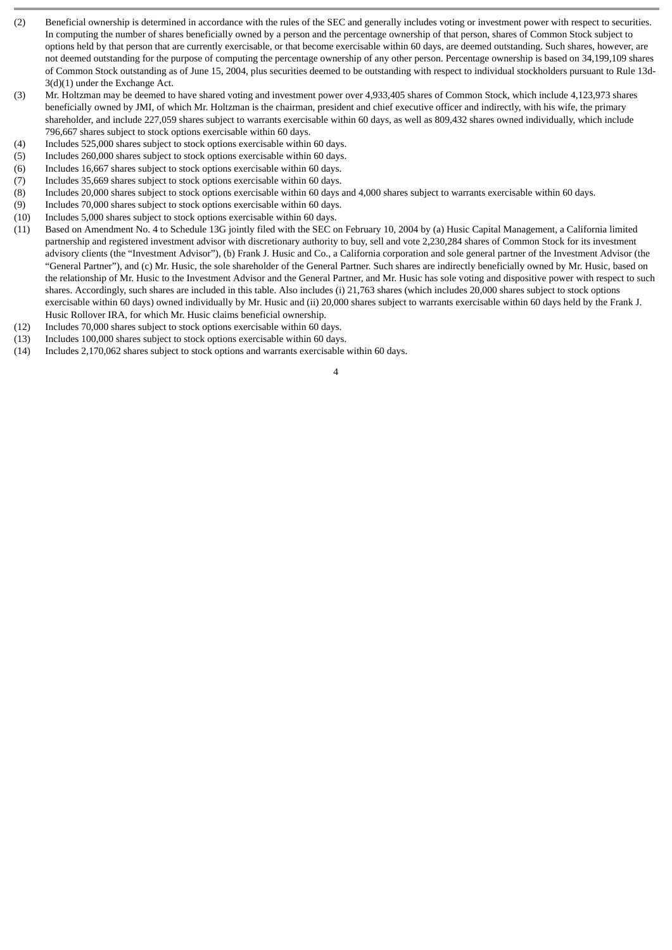- (2) Beneficial ownership is determined in accordance with the rules of the SEC and generally includes voting or investment power with respect to securities. In computing the number of shares beneficially owned by a person and the percentage ownership of that person, shares of Common Stock subject to options held by that person that are currently exercisable, or that become exercisable within 60 days, are deemed outstanding. Such shares, however, are not deemed outstanding for the purpose of computing the percentage ownership of any other person. Percentage ownership is based on 34,199,109 shares of Common Stock outstanding as of June 15, 2004, plus securities deemed to be outstanding with respect to individual stockholders pursuant to Rule 13d-3(d)(1) under the Exchange Act.
- (3) Mr. Holtzman may be deemed to have shared voting and investment power over 4,933,405 shares of Common Stock, which include 4,123,973 shares beneficially owned by JMI, of which Mr. Holtzman is the chairman, president and chief executive officer and indirectly, with his wife, the primary shareholder, and include 227,059 shares subject to warrants exercisable within 60 days, as well as 809,432 shares owned individually, which include 796,667 shares subject to stock options exercisable within 60 days.
- (4) Includes 525,000 shares subject to stock options exercisable within 60 days.
- (5) Includes 260,000 shares subject to stock options exercisable within 60 days.
- (6) Includes 16,667 shares subject to stock options exercisable within 60 days.
- (7) Includes 35,669 shares subject to stock options exercisable within 60 days.
- (8) Includes 20,000 shares subject to stock options exercisable within 60 days and 4,000 shares subject to warrants exercisable within 60 days.
- (9) Includes 70,000 shares subject to stock options exercisable within 60 days.
- (10) Includes 5,000 shares subject to stock options exercisable within 60 days.
- (11) Based on Amendment No. 4 to Schedule 13G jointly filed with the SEC on February 10, 2004 by (a) Husic Capital Management, a California limited partnership and registered investment advisor with discretionary authority to buy, sell and vote 2,230,284 shares of Common Stock for its investment advisory clients (the "Investment Advisor"), (b) Frank J. Husic and Co., a California corporation and sole general partner of the Investment Advisor (the "General Partner"), and (c) Mr. Husic, the sole shareholder of the General Partner. Such shares are indirectly beneficially owned by Mr. Husic, based on the relationship of Mr. Husic to the Investment Advisor and the General Partner, and Mr. Husic has sole voting and dispositive power with respect to such shares. Accordingly, such shares are included in this table. Also includes (i) 21,763 shares (which includes 20,000 shares subject to stock options exercisable within 60 days) owned individually by Mr. Husic and (ii) 20,000 shares subject to warrants exercisable within 60 days held by the Frank J. Husic Rollover IRA, for which Mr. Husic claims beneficial ownership.
- (12) Includes 70,000 shares subject to stock options exercisable within 60 days.
- (13) Includes 100,000 shares subject to stock options exercisable within 60 days.
- (14) Includes 2,170,062 shares subject to stock options and warrants exercisable within 60 days.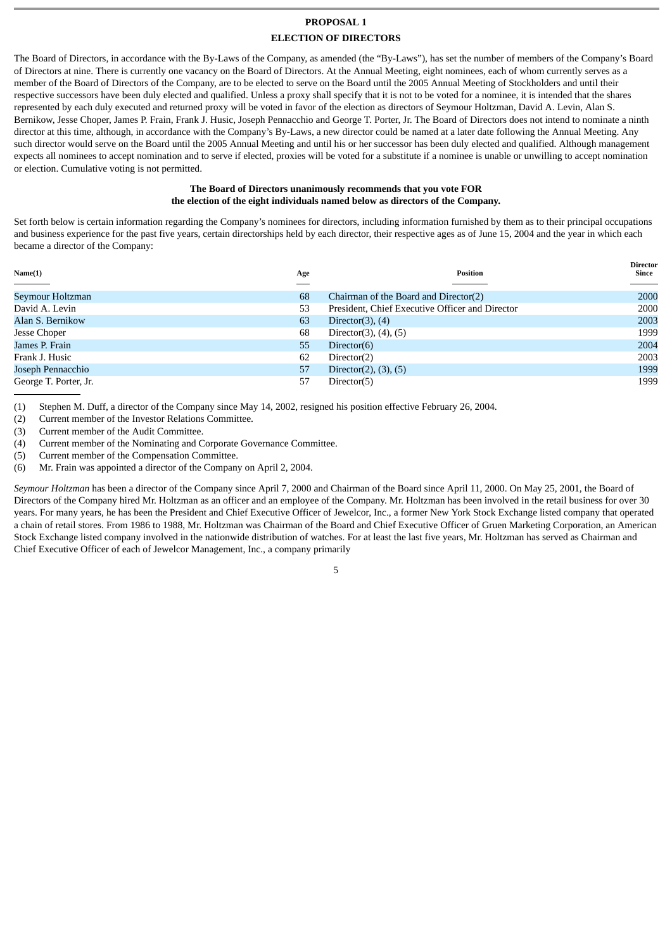## **PROPOSAL 1 ELECTION OF DIRECTORS**

The Board of Directors, in accordance with the By-Laws of the Company, as amended (the "By-Laws"), has set the number of members of the Company's Board of Directors at nine. There is currently one vacancy on the Board of Directors. At the Annual Meeting, eight nominees, each of whom currently serves as a member of the Board of Directors of the Company, are to be elected to serve on the Board until the 2005 Annual Meeting of Stockholders and until their respective successors have been duly elected and qualified. Unless a proxy shall specify that it is not to be voted for a nominee, it is intended that the shares represented by each duly executed and returned proxy will be voted in favor of the election as directors of Seymour Holtzman, David A. Levin, Alan S. Bernikow, Jesse Choper, James P. Frain, Frank J. Husic, Joseph Pennacchio and George T. Porter, Jr. The Board of Directors does not intend to nominate a ninth director at this time, although, in accordance with the Company's By-Laws, a new director could be named at a later date following the Annual Meeting. Any such director would serve on the Board until the 2005 Annual Meeting and until his or her successor has been duly elected and qualified. Although management expects all nominees to accept nomination and to serve if elected, proxies will be voted for a substitute if a nominee is unable or unwilling to accept nomination or election. Cumulative voting is not permitted.

### **The Board of Directors unanimously recommends that you vote FOR the election of the eight individuals named below as directors of the Company.**

Set forth below is certain information regarding the Company's nominees for directors, including information furnished by them as to their principal occupations and business experience for the past five years, certain directorships held by each director, their respective ages as of June 15, 2004 and the year in which each became a director of the Company:

| Name(1)               | Age | <b>Position</b>                                 | <b>Director</b><br>Since |
|-----------------------|-----|-------------------------------------------------|--------------------------|
|                       |     |                                                 |                          |
| Seymour Holtzman      | 68  | Chairman of the Board and Director(2)           | 2000                     |
| David A. Levin        | 53  | President, Chief Executive Officer and Director | 2000                     |
| Alan S. Bernikow      | 63  | Director $(3)$ , $(4)$                          | 2003                     |
| Jesse Choper          | 68  | Director $(3)$ , $(4)$ , $(5)$                  | 1999                     |
| James P. Frain        | 55  | Director $(6)$                                  | 2004                     |
| Frank J. Husic        | 62  | Director(2)                                     | 2003                     |
| Joseph Pennacchio     | 57  | Director $(2)$ , $(3)$ , $(5)$                  | 1999                     |
| George T. Porter, Jr. | 57  | Director(5)                                     | 1999                     |

(1) Stephen M. Duff, a director of the Company since May 14, 2002, resigned his position effective February 26, 2004.

(2) Current member of the Investor Relations Committee.

(3) Current member of the Audit Committee.

(4) Current member of the Nominating and Corporate Governance Committee.

(5) Current member of the Compensation Committee.

(6) Mr. Frain was appointed a director of the Company on April 2, 2004.

*Seymour Holtzman* has been a director of the Company since April 7, 2000 and Chairman of the Board since April 11, 2000. On May 25, 2001, the Board of Directors of the Company hired Mr. Holtzman as an officer and an employee of the Company. Mr. Holtzman has been involved in the retail business for over 30 years. For many years, he has been the President and Chief Executive Officer of Jewelcor, Inc., a former New York Stock Exchange listed company that operated a chain of retail stores. From 1986 to 1988, Mr. Holtzman was Chairman of the Board and Chief Executive Officer of Gruen Marketing Corporation, an American Stock Exchange listed company involved in the nationwide distribution of watches. For at least the last five years, Mr. Holtzman has served as Chairman and Chief Executive Officer of each of Jewelcor Management, Inc., a company primarily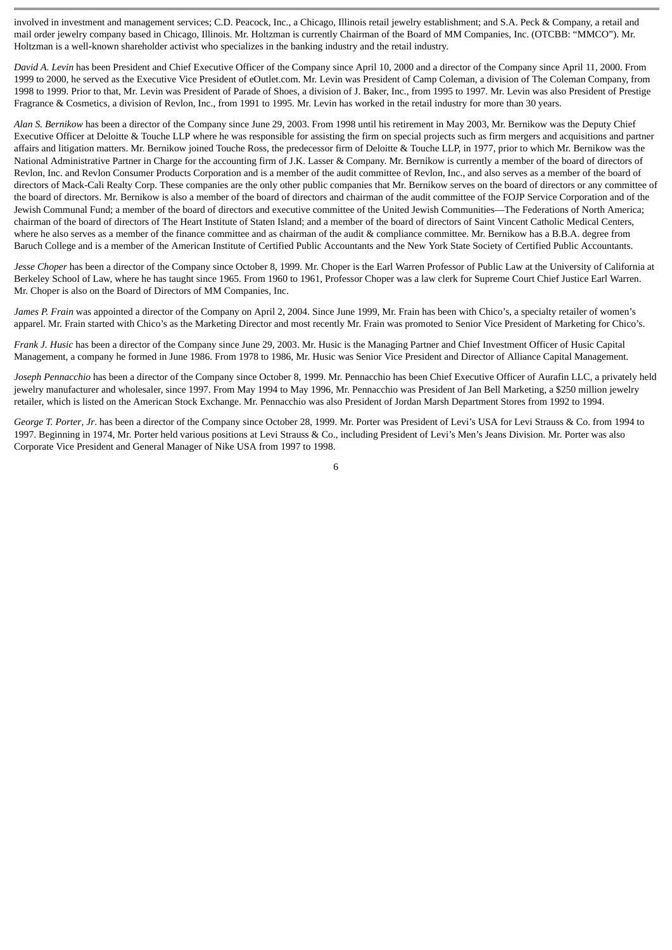involved in investment and management services; C.D. Peacock, Inc., a Chicago, Illinois retail jewelry establishment; and S.A. Peck & Company, a retail and mail order jewelry company based in Chicago, Illinois. Mr. Holtzman is currently Chairman of the Board of MM Companies, Inc. (OTCBB: "MMCO"). Mr. Holtzman is a well-known shareholder activist who specializes in the banking industry and the retail industry.

*David A. Levin* has been President and Chief Executive Officer of the Company since April 10, 2000 and a director of the Company since April 11, 2000. From 1999 to 2000, he served as the Executive Vice President of eOutlet.com. Mr. Levin was President of Camp Coleman, a division of The Coleman Company, from 1998 to 1999. Prior to that, Mr. Levin was President of Parade of Shoes, a division of J. Baker, Inc., from 1995 to 1997. Mr. Levin was also President of Prestige Fragrance & Cosmetics, a division of Revlon, Inc., from 1991 to 1995. Mr. Levin has worked in the retail industry for more than 30 years.

*Alan S. Bernikow* has been a director of the Company since June 29, 2003. From 1998 until his retirement in May 2003, Mr. Bernikow was the Deputy Chief Executive Officer at Deloitte & Touche LLP where he was responsible for assisting the firm on special projects such as firm mergers and acquisitions and partner affairs and litigation matters. Mr. Bernikow joined Touche Ross, the predecessor firm of Deloitte & Touche LLP, in 1977, prior to which Mr. Bernikow was the National Administrative Partner in Charge for the accounting firm of J.K. Lasser & Company. Mr. Bernikow is currently a member of the board of directors of Revlon, Inc. and Revlon Consumer Products Corporation and is a member of the audit committee of Revlon, Inc., and also serves as a member of the board of directors of Mack-Cali Realty Corp. These companies are the only other public companies that Mr. Bernikow serves on the board of directors or any committee of the board of directors. Mr. Bernikow is also a member of the board of directors and chairman of the audit committee of the FOJP Service Corporation and of the Jewish Communal Fund; a member of the board of directors and executive committee of the United Jewish Communities—The Federations of North America; chairman of the board of directors of The Heart Institute of Staten Island; and a member of the board of directors of Saint Vincent Catholic Medical Centers, where he also serves as a member of the finance committee and as chairman of the audit & compliance committee. Mr. Bernikow has a B.B.A. degree from Baruch College and is a member of the American Institute of Certified Public Accountants and the New York State Society of Certified Public Accountants.

*Jesse Choper* has been a director of the Company since October 8, 1999. Mr. Choper is the Earl Warren Professor of Public Law at the University of California at Berkeley School of Law, where he has taught since 1965. From 1960 to 1961, Professor Choper was a law clerk for Supreme Court Chief Justice Earl Warren. Mr. Choper is also on the Board of Directors of MM Companies, Inc.

*James P. Frain* was appointed a director of the Company on April 2, 2004. Since June 1999, Mr. Frain has been with Chico's, a specialty retailer of women's apparel. Mr. Frain started with Chico's as the Marketing Director and most recently Mr. Frain was promoted to Senior Vice President of Marketing for Chico's.

*Frank J. Husic* has been a director of the Company since June 29, 2003. Mr. Husic is the Managing Partner and Chief Investment Officer of Husic Capital Management, a company he formed in June 1986. From 1978 to 1986, Mr. Husic was Senior Vice President and Director of Alliance Capital Management.

*Joseph Pennacchio* has been a director of the Company since October 8, 1999. Mr. Pennacchio has been Chief Executive Officer of Aurafin LLC, a privately held jewelry manufacturer and wholesaler, since 1997. From May 1994 to May 1996, Mr. Pennacchio was President of Jan Bell Marketing, a \$250 million jewelry retailer, which is listed on the American Stock Exchange. Mr. Pennacchio was also President of Jordan Marsh Department Stores from 1992 to 1994.

*George T. Porter*, *Jr*. has been a director of the Company since October 28, 1999. Mr. Porter was President of Levi's USA for Levi Strauss & Co. from 1994 to 1997. Beginning in 1974, Mr. Porter held various positions at Levi Strauss & Co., including President of Levi's Men's Jeans Division. Mr. Porter was also Corporate Vice President and General Manager of Nike USA from 1997 to 1998.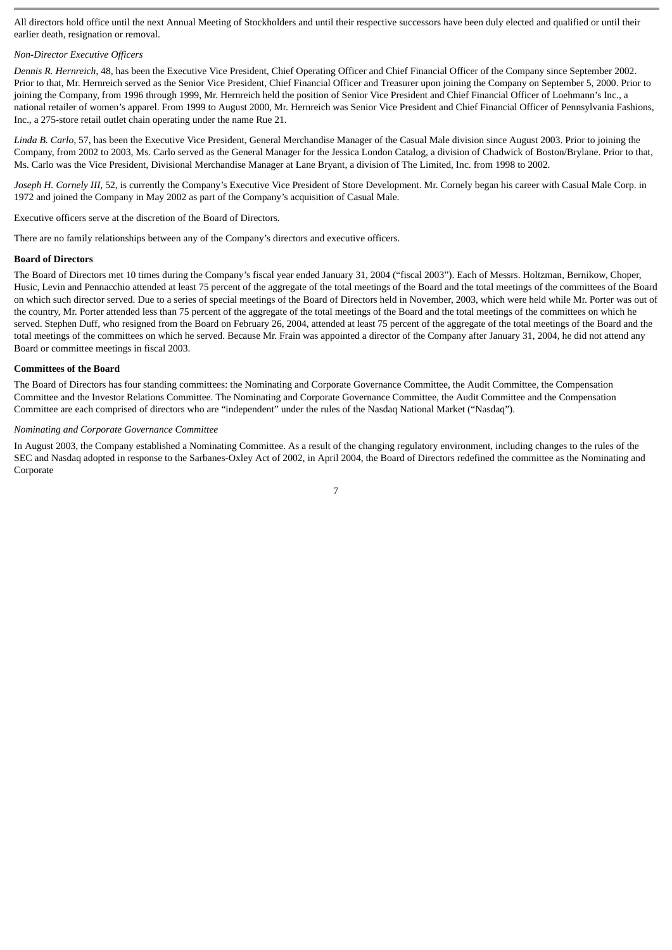All directors hold office until the next Annual Meeting of Stockholders and until their respective successors have been duly elected and qualified or until their earlier death, resignation or removal.

### *Non-Director Executive Officers*

*Dennis R. Hernreich*, 48, has been the Executive Vice President, Chief Operating Officer and Chief Financial Officer of the Company since September 2002. Prior to that, Mr. Hernreich served as the Senior Vice President, Chief Financial Officer and Treasurer upon joining the Company on September 5, 2000. Prior to joining the Company, from 1996 through 1999, Mr. Hernreich held the position of Senior Vice President and Chief Financial Officer of Loehmann's Inc., a national retailer of women's apparel. From 1999 to August 2000, Mr. Hernreich was Senior Vice President and Chief Financial Officer of Pennsylvania Fashions, Inc., a 275-store retail outlet chain operating under the name Rue 21.

*Linda B. Carlo*, 57, has been the Executive Vice President, General Merchandise Manager of the Casual Male division since August 2003. Prior to joining the Company, from 2002 to 2003, Ms. Carlo served as the General Manager for the Jessica London Catalog, a division of Chadwick of Boston/Brylane. Prior to that, Ms. Carlo was the Vice President, Divisional Merchandise Manager at Lane Bryant, a division of The Limited, Inc. from 1998 to 2002.

*Joseph H. Cornely III*, 52, is currently the Company's Executive Vice President of Store Development. Mr. Cornely began his career with Casual Male Corp. in 1972 and joined the Company in May 2002 as part of the Company's acquisition of Casual Male.

Executive officers serve at the discretion of the Board of Directors.

There are no family relationships between any of the Company's directors and executive officers.

### **Board of Directors**

The Board of Directors met 10 times during the Company's fiscal year ended January 31, 2004 ("fiscal 2003"). Each of Messrs. Holtzman, Bernikow, Choper, Husic, Levin and Pennacchio attended at least 75 percent of the aggregate of the total meetings of the Board and the total meetings of the committees of the Board on which such director served. Due to a series of special meetings of the Board of Directors held in November, 2003, which were held while Mr. Porter was out of the country, Mr. Porter attended less than 75 percent of the aggregate of the total meetings of the Board and the total meetings of the committees on which he served. Stephen Duff, who resigned from the Board on February 26, 2004, attended at least 75 percent of the aggregate of the total meetings of the Board and the total meetings of the committees on which he served. Because Mr. Frain was appointed a director of the Company after January 31, 2004, he did not attend any Board or committee meetings in fiscal 2003.

### **Committees of the Board**

The Board of Directors has four standing committees: the Nominating and Corporate Governance Committee, the Audit Committee, the Compensation Committee and the Investor Relations Committee. The Nominating and Corporate Governance Committee, the Audit Committee and the Compensation Committee are each comprised of directors who are "independent" under the rules of the Nasdaq National Market ("Nasdaq").

#### *Nominating and Corporate Governance Committee*

In August 2003, the Company established a Nominating Committee. As a result of the changing regulatory environment, including changes to the rules of the SEC and Nasdaq adopted in response to the Sarbanes-Oxley Act of 2002, in April 2004, the Board of Directors redefined the committee as the Nominating and Corporate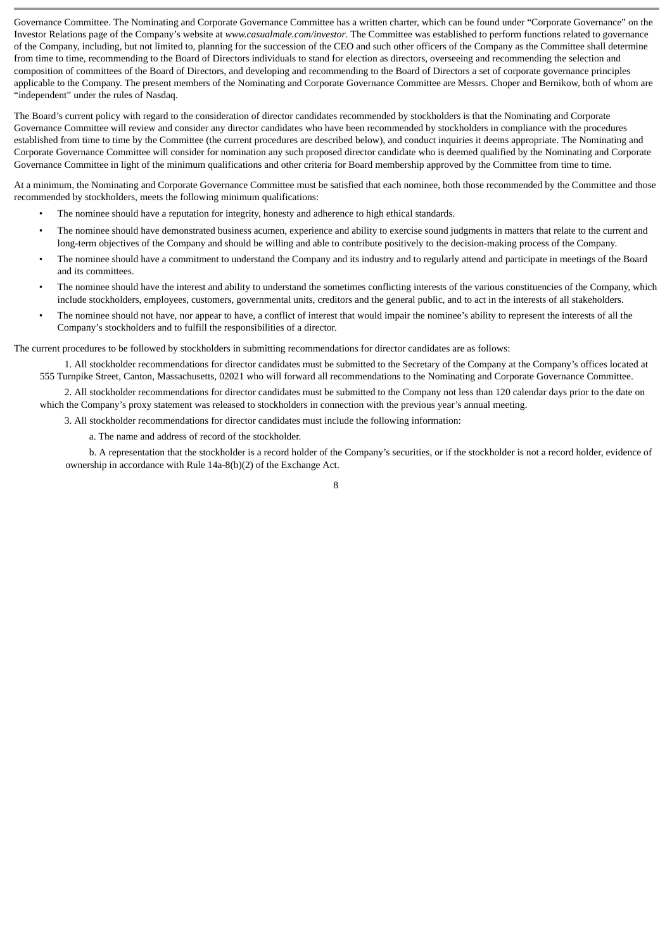Governance Committee. The Nominating and Corporate Governance Committee has a written charter, which can be found under "Corporate Governance" on the Investor Relations page of the Company's website at *www.casualmale.com/investor*. The Committee was established to perform functions related to governance of the Company, including, but not limited to, planning for the succession of the CEO and such other officers of the Company as the Committee shall determine from time to time, recommending to the Board of Directors individuals to stand for election as directors, overseeing and recommending the selection and composition of committees of the Board of Directors, and developing and recommending to the Board of Directors a set of corporate governance principles applicable to the Company. The present members of the Nominating and Corporate Governance Committee are Messrs. Choper and Bernikow, both of whom are "independent" under the rules of Nasdaq.

The Board's current policy with regard to the consideration of director candidates recommended by stockholders is that the Nominating and Corporate Governance Committee will review and consider any director candidates who have been recommended by stockholders in compliance with the procedures established from time to time by the Committee (the current procedures are described below), and conduct inquiries it deems appropriate. The Nominating and Corporate Governance Committee will consider for nomination any such proposed director candidate who is deemed qualified by the Nominating and Corporate Governance Committee in light of the minimum qualifications and other criteria for Board membership approved by the Committee from time to time.

At a minimum, the Nominating and Corporate Governance Committee must be satisfied that each nominee, both those recommended by the Committee and those recommended by stockholders, meets the following minimum qualifications:

- The nominee should have a reputation for integrity, honesty and adherence to high ethical standards.
- The nominee should have demonstrated business acumen, experience and ability to exercise sound judgments in matters that relate to the current and long-term objectives of the Company and should be willing and able to contribute positively to the decision-making process of the Company.
- The nominee should have a commitment to understand the Company and its industry and to regularly attend and participate in meetings of the Board and its committees.
- The nominee should have the interest and ability to understand the sometimes conflicting interests of the various constituencies of the Company, which include stockholders, employees, customers, governmental units, creditors and the general public, and to act in the interests of all stakeholders.
- The nominee should not have, nor appear to have, a conflict of interest that would impair the nominee's ability to represent the interests of all the Company's stockholders and to fulfill the responsibilities of a director.

The current procedures to be followed by stockholders in submitting recommendations for director candidates are as follows:

1. All stockholder recommendations for director candidates must be submitted to the Secretary of the Company at the Company's offices located at 555 Turnpike Street, Canton, Massachusetts, 02021 who will forward all recommendations to the Nominating and Corporate Governance Committee.

2. All stockholder recommendations for director candidates must be submitted to the Company not less than 120 calendar days prior to the date on which the Company's proxy statement was released to stockholders in connection with the previous year's annual meeting.

3. All stockholder recommendations for director candidates must include the following information:

a. The name and address of record of the stockholder.

b. A representation that the stockholder is a record holder of the Company's securities, or if the stockholder is not a record holder, evidence of ownership in accordance with Rule 14a-8(b)(2) of the Exchange Act.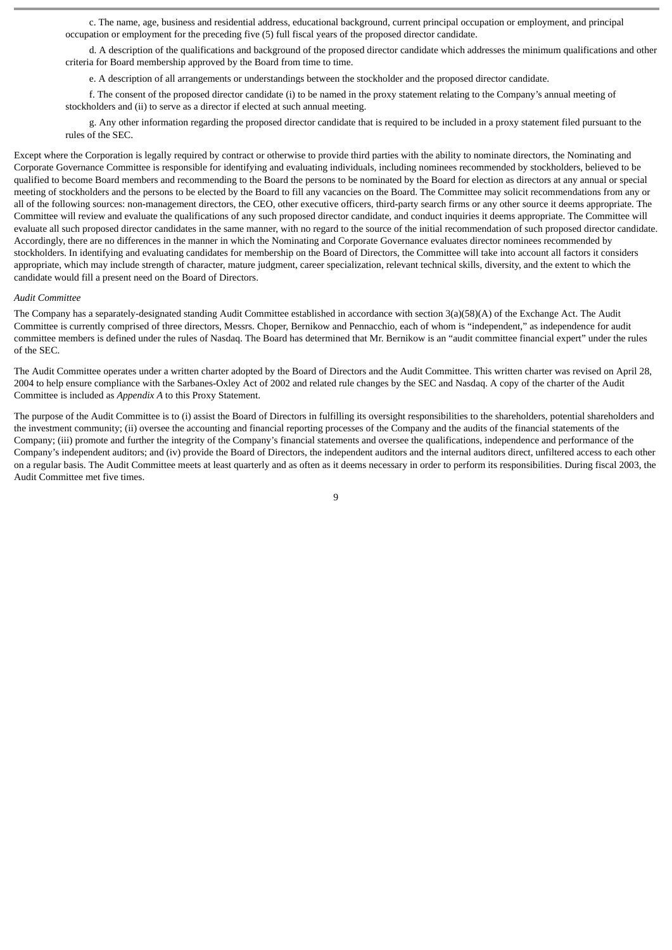c. The name, age, business and residential address, educational background, current principal occupation or employment, and principal occupation or employment for the preceding five (5) full fiscal years of the proposed director candidate.

d. A description of the qualifications and background of the proposed director candidate which addresses the minimum qualifications and other criteria for Board membership approved by the Board from time to time.

e. A description of all arrangements or understandings between the stockholder and the proposed director candidate.

f. The consent of the proposed director candidate (i) to be named in the proxy statement relating to the Company's annual meeting of stockholders and (ii) to serve as a director if elected at such annual meeting.

g. Any other information regarding the proposed director candidate that is required to be included in a proxy statement filed pursuant to the rules of the SEC.

Except where the Corporation is legally required by contract or otherwise to provide third parties with the ability to nominate directors, the Nominating and Corporate Governance Committee is responsible for identifying and evaluating individuals, including nominees recommended by stockholders, believed to be qualified to become Board members and recommending to the Board the persons to be nominated by the Board for election as directors at any annual or special meeting of stockholders and the persons to be elected by the Board to fill any vacancies on the Board. The Committee may solicit recommendations from any or all of the following sources: non-management directors, the CEO, other executive officers, third-party search firms or any other source it deems appropriate. The Committee will review and evaluate the qualifications of any such proposed director candidate, and conduct inquiries it deems appropriate. The Committee will evaluate all such proposed director candidates in the same manner, with no regard to the source of the initial recommendation of such proposed director candidate. Accordingly, there are no differences in the manner in which the Nominating and Corporate Governance evaluates director nominees recommended by stockholders. In identifying and evaluating candidates for membership on the Board of Directors, the Committee will take into account all factors it considers appropriate, which may include strength of character, mature judgment, career specialization, relevant technical skills, diversity, and the extent to which the candidate would fill a present need on the Board of Directors.

#### *Audit Committee*

The Company has a separately-designated standing Audit Committee established in accordance with section 3(a)(58)(A) of the Exchange Act. The Audit Committee is currently comprised of three directors, Messrs. Choper, Bernikow and Pennacchio, each of whom is "independent," as independence for audit committee members is defined under the rules of Nasdaq. The Board has determined that Mr. Bernikow is an "audit committee financial expert" under the rules of the SEC.

The Audit Committee operates under a written charter adopted by the Board of Directors and the Audit Committee. This written charter was revised on April 28, 2004 to help ensure compliance with the Sarbanes-Oxley Act of 2002 and related rule changes by the SEC and Nasdaq. A copy of the charter of the Audit Committee is included as *Appendix A* to this Proxy Statement.

The purpose of the Audit Committee is to (i) assist the Board of Directors in fulfilling its oversight responsibilities to the shareholders, potential shareholders and the investment community; (ii) oversee the accounting and financial reporting processes of the Company and the audits of the financial statements of the Company; (iii) promote and further the integrity of the Company's financial statements and oversee the qualifications, independence and performance of the Company's independent auditors; and (iv) provide the Board of Directors, the independent auditors and the internal auditors direct, unfiltered access to each other on a regular basis. The Audit Committee meets at least quarterly and as often as it deems necessary in order to perform its responsibilities. During fiscal 2003, the Audit Committee met five times.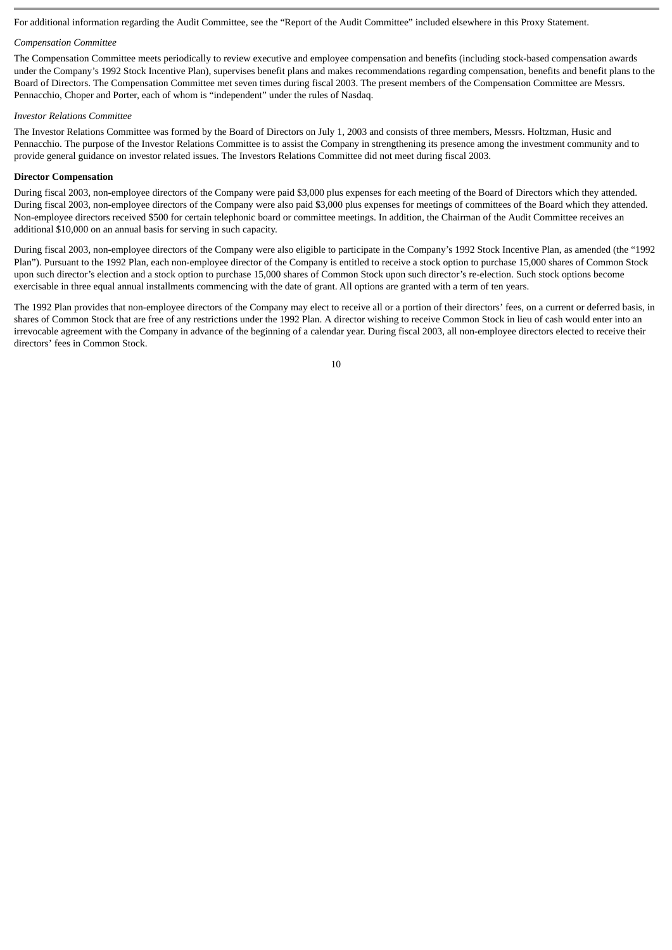For additional information regarding the Audit Committee, see the "Report of the Audit Committee" included elsewhere in this Proxy Statement.

### *Compensation Committee*

The Compensation Committee meets periodically to review executive and employee compensation and benefits (including stock-based compensation awards under the Company's 1992 Stock Incentive Plan), supervises benefit plans and makes recommendations regarding compensation, benefits and benefit plans to the Board of Directors. The Compensation Committee met seven times during fiscal 2003. The present members of the Compensation Committee are Messrs. Pennacchio, Choper and Porter, each of whom is "independent" under the rules of Nasdaq.

#### *Investor Relations Committee*

The Investor Relations Committee was formed by the Board of Directors on July 1, 2003 and consists of three members, Messrs. Holtzman, Husic and Pennacchio. The purpose of the Investor Relations Committee is to assist the Company in strengthening its presence among the investment community and to provide general guidance on investor related issues. The Investors Relations Committee did not meet during fiscal 2003.

### **Director Compensation**

During fiscal 2003, non-employee directors of the Company were paid \$3,000 plus expenses for each meeting of the Board of Directors which they attended. During fiscal 2003, non-employee directors of the Company were also paid \$3,000 plus expenses for meetings of committees of the Board which they attended. Non-employee directors received \$500 for certain telephonic board or committee meetings. In addition, the Chairman of the Audit Committee receives an additional \$10,000 on an annual basis for serving in such capacity.

During fiscal 2003, non-employee directors of the Company were also eligible to participate in the Company's 1992 Stock Incentive Plan, as amended (the "1992 Plan"). Pursuant to the 1992 Plan, each non-employee director of the Company is entitled to receive a stock option to purchase 15,000 shares of Common Stock upon such director's election and a stock option to purchase 15,000 shares of Common Stock upon such director's re-election. Such stock options become exercisable in three equal annual installments commencing with the date of grant. All options are granted with a term of ten years.

The 1992 Plan provides that non-employee directors of the Company may elect to receive all or a portion of their directors' fees, on a current or deferred basis, in shares of Common Stock that are free of any restrictions under the 1992 Plan. A director wishing to receive Common Stock in lieu of cash would enter into an irrevocable agreement with the Company in advance of the beginning of a calendar year. During fiscal 2003, all non-employee directors elected to receive their directors' fees in Common Stock.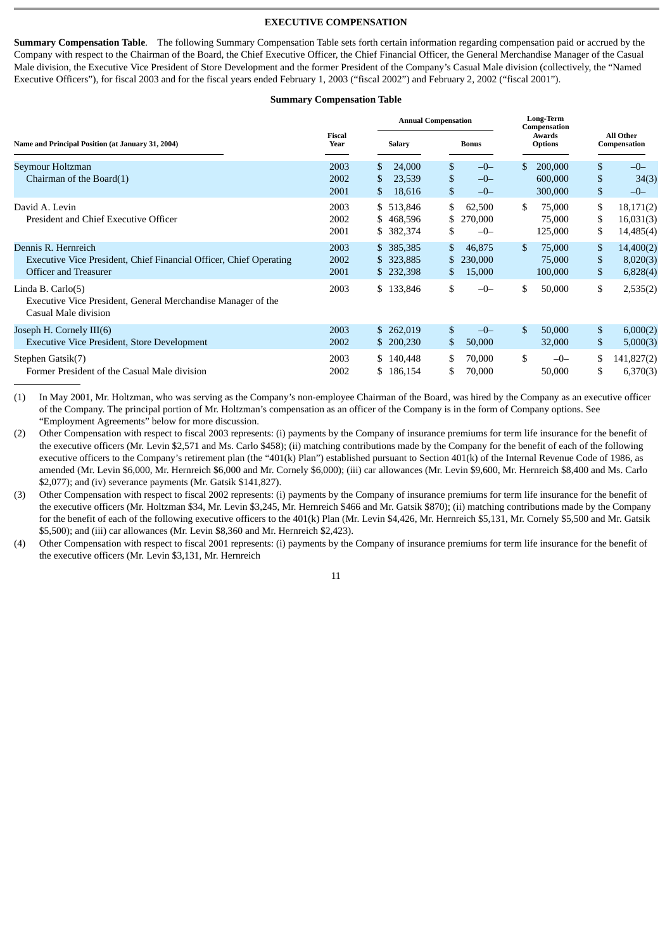### **EXECUTIVE COMPENSATION**

**Summary Compensation Table**. The following Summary Compensation Table sets forth certain information regarding compensation paid or accrued by the Company with respect to the Chairman of the Board, the Chief Executive Officer, the Chief Financial Officer, the General Merchandise Manager of the Casual Male division, the Executive Vice President of Store Development and the former President of the Company's Casual Male division (collectively, the "Named Executive Officers"), for fiscal 2003 and for the fiscal years ended February 1, 2003 ("fiscal 2002") and February 2, 2002 ("fiscal 2001").

#### **Summary Compensation Table**

|                                                                                                                           |                      |                                              | <b>Annual Compensation</b>                    | <b>Long-Term</b><br>Compensation    |                |                                     |
|---------------------------------------------------------------------------------------------------------------------------|----------------------|----------------------------------------------|-----------------------------------------------|-------------------------------------|----------------|-------------------------------------|
| Name and Principal Position (at January 31, 2004)                                                                         | Fiscal<br>Year       | Salary                                       | <b>Bonus</b>                                  | <b>Awards</b><br><b>Options</b>     |                | All Other<br>Compensation           |
| Seymour Holtzman<br>Chairman of the Board(1)                                                                              | 2003<br>2002<br>2001 | 24,000<br>S.<br>23,539<br>18,616<br>\$       | \$.<br>$-0-$<br>\$<br>$-0-$<br>\$<br>$-0-$    | 200,000<br>S.<br>600,000<br>300,000 | \$<br>\$<br>\$ | $-0-$<br>34(3)<br>$-0-$             |
| David A. Levin<br>President and Chief Executive Officer                                                                   | 2003<br>2002<br>2001 | \$ 513,846<br>468,596<br>S.<br>382,374<br>S. | \$.<br>62,500<br>270,000<br>S.<br>S<br>$-0-$  | \$<br>75,000<br>75,000<br>125,000   | \$<br>\$<br>\$ | 18,171(2)<br>16,031(3)<br>14,485(4) |
| Dennis R. Hernreich<br>Executive Vice President, Chief Financial Officer, Chief Operating<br><b>Officer and Treasurer</b> | 2003<br>2002<br>2001 | \$385,385<br>323,885<br>\$232,398            | 46,875<br>\$<br>230,000<br>S.<br>15,000<br>S. | 75,000<br>S.<br>75,000<br>100,000   | \$<br>\$<br>\$ | 14,400(2)<br>8,020(3)<br>6,828(4)   |
| Linda B. Carlo $(5)$<br>Executive Vice President, General Merchandise Manager of the<br>Casual Male division              | 2003                 | \$133,846                                    | \$<br>$-0-$                                   | \$<br>50,000                        | \$             | 2,535(2)                            |
| Joseph H. Cornely III(6)<br><b>Executive Vice President, Store Development</b>                                            | 2003<br>2002         | \$262,019<br>200,230<br>S.                   | \$<br>$-0-$<br>\$<br>50,000                   | \$<br>50,000<br>32,000              | \$<br>\$       | 6,000(2)<br>5,000(3)                |
| Stephen Gatsik(7)<br>Former President of the Casual Male division                                                         | 2003<br>2002         | 140,448<br>186,154<br>S.                     | \$.<br>70,000<br>\$<br>70,000                 | \$<br>$-0-$<br>50,000               | \$<br>\$       | 141,827(2)<br>6,370(3)              |

(1) In May 2001, Mr. Holtzman, who was serving as the Company's non-employee Chairman of the Board, was hired by the Company as an executive officer of the Company. The principal portion of Mr. Holtzman's compensation as an officer of the Company is in the form of Company options. See "Employment Agreements" below for more discussion.

(2) Other Compensation with respect to fiscal 2003 represents: (i) payments by the Company of insurance premiums for term life insurance for the benefit of the executive officers (Mr. Levin \$2,571 and Ms. Carlo \$458); (ii) matching contributions made by the Company for the benefit of each of the following executive officers to the Company's retirement plan (the "401(k) Plan") established pursuant to Section 401(k) of the Internal Revenue Code of 1986, as amended (Mr. Levin \$6,000, Mr. Hernreich \$6,000 and Mr. Cornely \$6,000); (iii) car allowances (Mr. Levin \$9,600, Mr. Hernreich \$8,400 and Ms. Carlo \$2,077); and (iv) severance payments (Mr. Gatsik \$141,827).

(3) Other Compensation with respect to fiscal 2002 represents: (i) payments by the Company of insurance premiums for term life insurance for the benefit of the executive officers (Mr. Holtzman \$34, Mr. Levin \$3,245, Mr. Hernreich \$466 and Mr. Gatsik \$870); (ii) matching contributions made by the Company for the benefit of each of the following executive officers to the 401(k) Plan (Mr. Levin \$4,426, Mr. Hernreich \$5,131, Mr. Cornely \$5,500 and Mr. Gatsik \$5,500); and (iii) car allowances (Mr. Levin \$8,360 and Mr. Hernreich \$2,423).

(4) Other Compensation with respect to fiscal 2001 represents: (i) payments by the Company of insurance premiums for term life insurance for the benefit of the executive officers (Mr. Levin \$3,131, Mr. Hernreich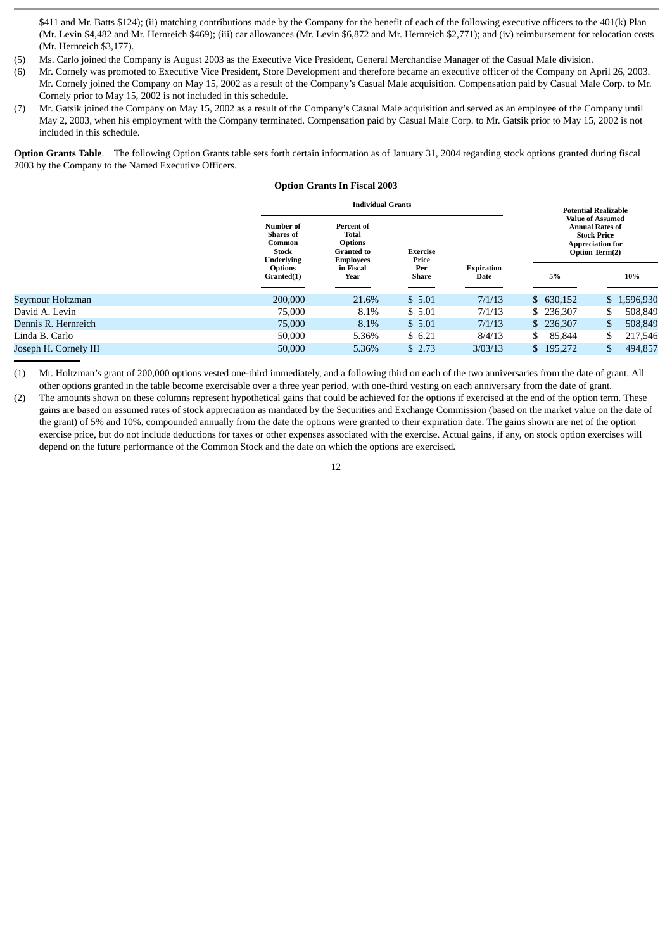\$411 and Mr. Batts \$124); (ii) matching contributions made by the Company for the benefit of each of the following executive officers to the 401(k) Plan (Mr. Levin \$4,482 and Mr. Hernreich \$469); (iii) car allowances (Mr. Levin \$6,872 and Mr. Hernreich \$2,771); and (iv) reimbursement for relocation costs (Mr. Hernreich \$3,177).

- (5) Ms. Carlo joined the Company is August 2003 as the Executive Vice President, General Merchandise Manager of the Casual Male division.
- (6) Mr. Cornely was promoted to Executive Vice President, Store Development and therefore became an executive officer of the Company on April 26, 2003. Mr. Cornely joined the Company on May 15, 2002 as a result of the Company's Casual Male acquisition. Compensation paid by Casual Male Corp. to Mr. Cornely prior to May 15, 2002 is not included in this schedule.
- (7) Mr. Gatsik joined the Company on May 15, 2002 as a result of the Company's Casual Male acquisition and served as an employee of the Company until May 2, 2003, when his employment with the Company terminated. Compensation paid by Casual Male Corp. to Mr. Gatsik prior to May 15, 2002 is not included in this schedule.

**Option Grants Table**. The following Option Grants table sets forth certain information as of January 31, 2004 regarding stock options granted during fiscal 2003 by the Company to the Named Executive Officers.

### **Option Grants In Fiscal 2003**

|                       |                                                                       | <b>Individual Grants</b>                                                       |                          |                           |              | <b>Potential Realizable</b> |                                                                                                                             |  |  |
|-----------------------|-----------------------------------------------------------------------|--------------------------------------------------------------------------------|--------------------------|---------------------------|--------------|-----------------------------|-----------------------------------------------------------------------------------------------------------------------------|--|--|
|                       | Number of<br><b>Shares of</b><br>Common<br>Stock<br><b>Underlying</b> | Percent of<br>Total<br><b>Options</b><br><b>Granted to</b><br><b>Employees</b> | <b>Exercise</b><br>Price | Per                       |              |                             | <b>Value of Assumed</b><br><b>Annual Rates of</b><br><b>Stock Price</b><br><b>Appreciation for</b><br><b>Option Term(2)</b> |  |  |
|                       | <b>Options</b><br>Granted(1)                                          | in Fiscal<br>Year                                                              |                          | <b>Expiration</b><br>Date | 5%           |                             | 10%                                                                                                                         |  |  |
| Seymour Holtzman      | 200,000                                                               | 21.6%                                                                          | \$5.01                   | 7/1/13                    | \$630,152    |                             | \$1,596,930                                                                                                                 |  |  |
| David A. Levin        | 75,000                                                                | 8.1%                                                                           | \$5.01                   | 7/1/13                    | \$236,307    | \$                          | 508,849                                                                                                                     |  |  |
| Dennis R. Hernreich   | 75,000                                                                | 8.1%                                                                           | \$5.01                   | 7/1/13                    | \$236,307    | \$                          | 508,849                                                                                                                     |  |  |
| Linda B. Carlo        | 50,000                                                                | 5.36%                                                                          | \$6.21                   | 8/4/13                    | \$<br>85,844 | \$                          | 217,546                                                                                                                     |  |  |
| Joseph H. Cornely III | 50,000                                                                | 5.36%                                                                          | \$2.73                   | 3/03/13                   | \$195,272    |                             | 494,857                                                                                                                     |  |  |

<sup>(1)</sup> Mr. Holtzman's grant of 200,000 options vested one-third immediately, and a following third on each of the two anniversaries from the date of grant. All other options granted in the table become exercisable over a three year period, with one-third vesting on each anniversary from the date of grant.

(2) The amounts shown on these columns represent hypothetical gains that could be achieved for the options if exercised at the end of the option term. These gains are based on assumed rates of stock appreciation as mandated by the Securities and Exchange Commission (based on the market value on the date of the grant) of 5% and 10%, compounded annually from the date the options were granted to their expiration date. The gains shown are net of the option exercise price, but do not include deductions for taxes or other expenses associated with the exercise. Actual gains, if any, on stock option exercises will depend on the future performance of the Common Stock and the date on which the options are exercised.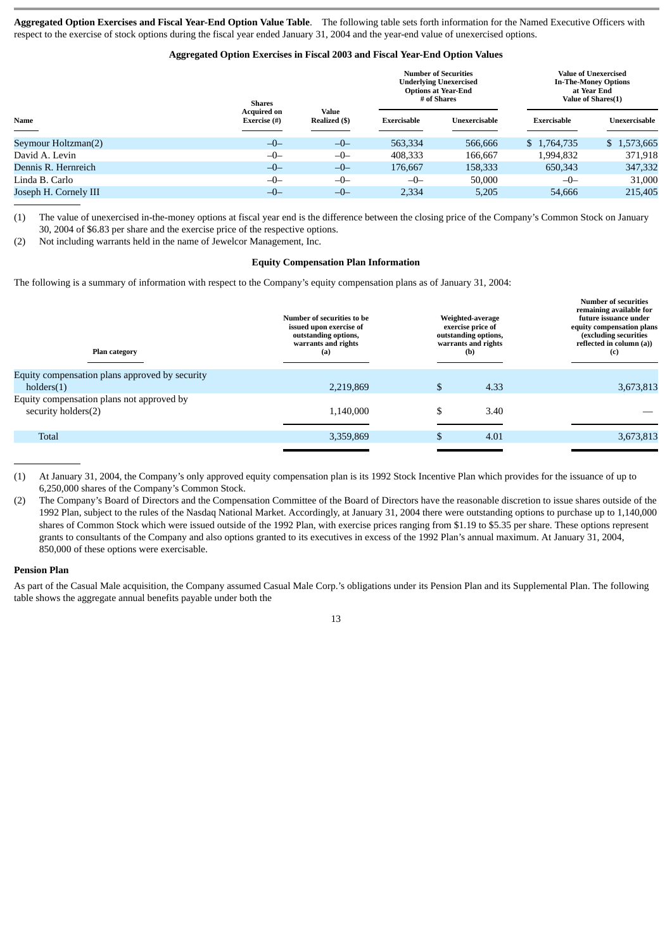**Aggregated Option Exercises and Fiscal Year-End Option Value Table**. The following table sets forth information for the Named Executive Officers with respect to the exercise of stock options during the fiscal year ended January 31, 2004 and the year-end value of unexercised options.

### **Aggregated Option Exercises in Fiscal 2003 and Fiscal Year-End Option Values**

|                       | <b>Shares</b>                      |                        |             | <b>Number of Securities</b><br><b>Underlying Unexercised</b><br><b>Options at Year-End</b><br># of Shares | <b>Value of Unexercised</b><br><b>In-The-Money Options</b><br>at Year End<br>Value of Shares(1) |               |  |
|-----------------------|------------------------------------|------------------------|-------------|-----------------------------------------------------------------------------------------------------------|-------------------------------------------------------------------------------------------------|---------------|--|
| Name                  | <b>Acquired on</b><br>Exercise (#) | Value<br>Realized (\$) | Exercisable | Unexercisable                                                                                             | Exercisable                                                                                     | Unexercisable |  |
| Seymour Holtzman(2)   | $-0-$                              | $-0-$                  | 563,334     | 566.666                                                                                                   | \$1,764,735                                                                                     | \$1,573,665   |  |
| David A. Levin        | $-0-$                              | $-0-$                  | 408.333     | 166.667                                                                                                   | 1,994,832                                                                                       | 371,918       |  |
| Dennis R. Hernreich   | $-0-$                              | $-0-$                  | 176.667     | 158,333                                                                                                   | 650,343                                                                                         | 347,332       |  |
| Linda B. Carlo        | $-0-$                              | $-0-$                  | $-0-$       | 50,000                                                                                                    | $-0-$                                                                                           | 31,000        |  |
| Joseph H. Cornely III | $-0-$                              | $-0-$                  | 2,334       | 5,205                                                                                                     | 54,666                                                                                          | 215,405       |  |

(1) The value of unexercised in-the-money options at fiscal year end is the difference between the closing price of the Company's Common Stock on January 30, 2004 of \$6.83 per share and the exercise price of the respective options.

(2) Not including warrants held in the name of Jewelcor Management, Inc.

#### **Equity Compensation Plan Information**

The following is a summary of information with respect to the Company's equity compensation plans as of January 31, 2004:

| Plan category                                  | Number of securities to be<br>issued upon exercise of<br>outstanding options,<br>warrants and rights<br>(a) | Weighted-average<br>exercise price of<br>outstanding options,<br>warrants and rights<br>(b) | <b>Number of securities</b><br>remaining available for<br>future issuance under<br>equity compensation plans<br>(excluding securities<br>reflected in column (a))<br>(c) |
|------------------------------------------------|-------------------------------------------------------------------------------------------------------------|---------------------------------------------------------------------------------------------|--------------------------------------------------------------------------------------------------------------------------------------------------------------------------|
| Equity compensation plans approved by security |                                                                                                             |                                                                                             |                                                                                                                                                                          |
| $h$ olders $(1)$                               | 2,219,869                                                                                                   | 4.33<br>\$                                                                                  | 3,673,813                                                                                                                                                                |
| Equity compensation plans not approved by      |                                                                                                             |                                                                                             |                                                                                                                                                                          |
| security holders(2)                            | 1,140,000                                                                                                   | 3.40                                                                                        |                                                                                                                                                                          |
|                                                |                                                                                                             |                                                                                             |                                                                                                                                                                          |
| Total                                          | 3,359,869                                                                                                   | 4.01                                                                                        | 3,673,813                                                                                                                                                                |
|                                                |                                                                                                             |                                                                                             |                                                                                                                                                                          |

(1) At January 31, 2004, the Company's only approved equity compensation plan is its 1992 Stock Incentive Plan which provides for the issuance of up to 6,250,000 shares of the Company's Common Stock.

(2) The Company's Board of Directors and the Compensation Committee of the Board of Directors have the reasonable discretion to issue shares outside of the 1992 Plan, subject to the rules of the Nasdaq National Market. Accordingly, at January 31, 2004 there were outstanding options to purchase up to 1,140,000 shares of Common Stock which were issued outside of the 1992 Plan, with exercise prices ranging from \$1.19 to \$5.35 per share. These options represent grants to consultants of the Company and also options granted to its executives in excess of the 1992 Plan's annual maximum. At January 31, 2004, 850,000 of these options were exercisable.

#### **Pension Plan**

As part of the Casual Male acquisition, the Company assumed Casual Male Corp.'s obligations under its Pension Plan and its Supplemental Plan. The following table shows the aggregate annual benefits payable under both the

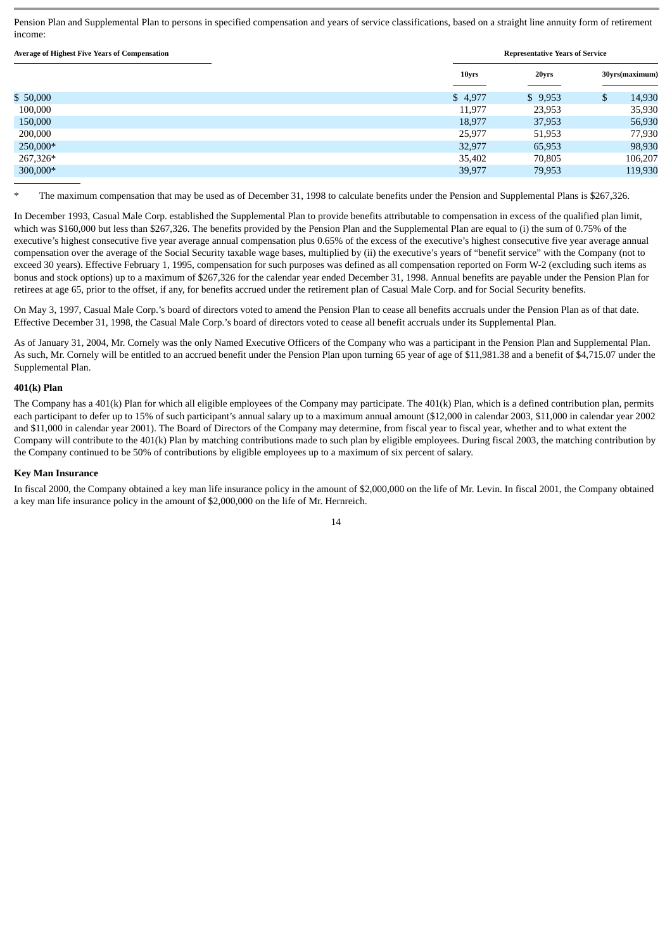Pension Plan and Supplemental Plan to persons in specified compensation and years of service classifications, based on a straight line annuity form of retirement income:

| <b>Average of Highest Five Years of Compensation</b> |         | <b>Representative Years of Service</b> |                |         |  |  |  |
|------------------------------------------------------|---------|----------------------------------------|----------------|---------|--|--|--|
|                                                      | 10yrs   | 20yrs                                  | 30yrs(maximum) |         |  |  |  |
| \$50,000                                             | \$4,977 | \$9,953                                | \$             | 14,930  |  |  |  |
| 100,000                                              | 11,977  | 23,953                                 |                | 35,930  |  |  |  |
| 150,000                                              | 18,977  | 37,953                                 |                | 56,930  |  |  |  |
| 200,000                                              | 25,977  | 51,953                                 |                | 77,930  |  |  |  |
| 250,000*                                             | 32,977  | 65,953                                 |                | 98,930  |  |  |  |
| 267,326*                                             | 35,402  | 70,805                                 |                | 106,207 |  |  |  |
| 300,000*                                             | 39,977  | 79,953                                 |                | 119,930 |  |  |  |
|                                                      |         |                                        |                |         |  |  |  |

\* The maximum compensation that may be used as of December 31, 1998 to calculate benefits under the Pension and Supplemental Plans is \$267,326.

In December 1993, Casual Male Corp. established the Supplemental Plan to provide benefits attributable to compensation in excess of the qualified plan limit, which was \$160,000 but less than \$267,326. The benefits provided by the Pension Plan and the Supplemental Plan are equal to (i) the sum of 0.75% of the executive's highest consecutive five year average annual compensation plus 0.65% of the excess of the executive's highest consecutive five year average annual compensation over the average of the Social Security taxable wage bases, multiplied by (ii) the executive's years of "benefit service" with the Company (not to exceed 30 years). Effective February 1, 1995, compensation for such purposes was defined as all compensation reported on Form W-2 (excluding such items as bonus and stock options) up to a maximum of \$267,326 for the calendar year ended December 31, 1998. Annual benefits are payable under the Pension Plan for retirees at age 65, prior to the offset, if any, for benefits accrued under the retirement plan of Casual Male Corp. and for Social Security benefits.

On May 3, 1997, Casual Male Corp.'s board of directors voted to amend the Pension Plan to cease all benefits accruals under the Pension Plan as of that date. Effective December 31, 1998, the Casual Male Corp.'s board of directors voted to cease all benefit accruals under its Supplemental Plan.

As of January 31, 2004, Mr. Cornely was the only Named Executive Officers of the Company who was a participant in the Pension Plan and Supplemental Plan. As such, Mr. Cornely will be entitled to an accrued benefit under the Pension Plan upon turning 65 year of age of \$11,981.38 and a benefit of \$4,715.07 under the Supplemental Plan.

### **401(k) Plan**

The Company has a 401(k) Plan for which all eligible employees of the Company may participate. The 401(k) Plan, which is a defined contribution plan, permits each participant to defer up to 15% of such participant's annual salary up to a maximum annual amount (\$12,000 in calendar 2003, \$11,000 in calendar year 2002 and \$11,000 in calendar year 2001). The Board of Directors of the Company may determine, from fiscal year to fiscal year, whether and to what extent the Company will contribute to the 401(k) Plan by matching contributions made to such plan by eligible employees. During fiscal 2003, the matching contribution by the Company continued to be 50% of contributions by eligible employees up to a maximum of six percent of salary.

### **Key Man Insurance**

In fiscal 2000, the Company obtained a key man life insurance policy in the amount of \$2,000,000 on the life of Mr. Levin. In fiscal 2001, the Company obtained a key man life insurance policy in the amount of \$2,000,000 on the life of Mr. Hernreich.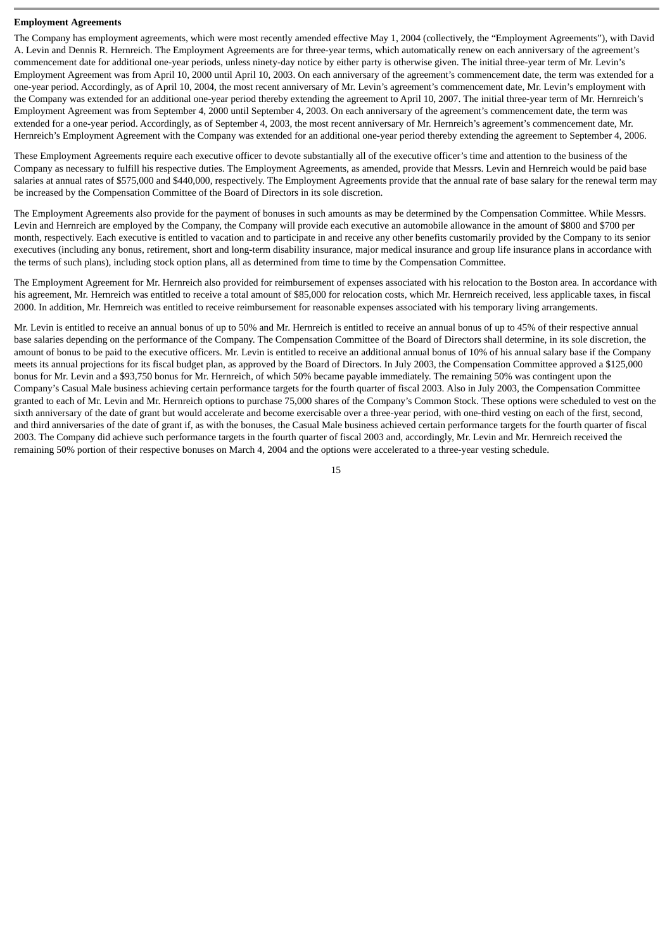#### **Employment Agreements**

The Company has employment agreements, which were most recently amended effective May 1, 2004 (collectively, the "Employment Agreements"), with David A. Levin and Dennis R. Hernreich. The Employment Agreements are for three-year terms, which automatically renew on each anniversary of the agreement's commencement date for additional one-year periods, unless ninety-day notice by either party is otherwise given. The initial three-year term of Mr. Levin's Employment Agreement was from April 10, 2000 until April 10, 2003. On each anniversary of the agreement's commencement date, the term was extended for a one-year period. Accordingly, as of April 10, 2004, the most recent anniversary of Mr. Levin's agreement's commencement date, Mr. Levin's employment with the Company was extended for an additional one-year period thereby extending the agreement to April 10, 2007. The initial three-year term of Mr. Hernreich's Employment Agreement was from September 4, 2000 until September 4, 2003. On each anniversary of the agreement's commencement date, the term was extended for a one-year period. Accordingly, as of September 4, 2003, the most recent anniversary of Mr. Hernreich's agreement's commencement date, Mr. Hernreich's Employment Agreement with the Company was extended for an additional one-year period thereby extending the agreement to September 4, 2006.

These Employment Agreements require each executive officer to devote substantially all of the executive officer's time and attention to the business of the Company as necessary to fulfill his respective duties. The Employment Agreements, as amended, provide that Messrs. Levin and Hernreich would be paid base salaries at annual rates of \$575,000 and \$440,000, respectively. The Employment Agreements provide that the annual rate of base salary for the renewal term may be increased by the Compensation Committee of the Board of Directors in its sole discretion.

The Employment Agreements also provide for the payment of bonuses in such amounts as may be determined by the Compensation Committee. While Messrs. Levin and Hernreich are employed by the Company, the Company will provide each executive an automobile allowance in the amount of \$800 and \$700 per month, respectively. Each executive is entitled to vacation and to participate in and receive any other benefits customarily provided by the Company to its senior executives (including any bonus, retirement, short and long-term disability insurance, major medical insurance and group life insurance plans in accordance with the terms of such plans), including stock option plans, all as determined from time to time by the Compensation Committee.

The Employment Agreement for Mr. Hernreich also provided for reimbursement of expenses associated with his relocation to the Boston area. In accordance with his agreement, Mr. Hernreich was entitled to receive a total amount of \$85,000 for relocation costs, which Mr. Hernreich received, less applicable taxes, in fiscal 2000. In addition, Mr. Hernreich was entitled to receive reimbursement for reasonable expenses associated with his temporary living arrangements.

Mr. Levin is entitled to receive an annual bonus of up to 50% and Mr. Hernreich is entitled to receive an annual bonus of up to 45% of their respective annual base salaries depending on the performance of the Company. The Compensation Committee of the Board of Directors shall determine, in its sole discretion, the amount of bonus to be paid to the executive officers. Mr. Levin is entitled to receive an additional annual bonus of 10% of his annual salary base if the Company meets its annual projections for its fiscal budget plan, as approved by the Board of Directors. In July 2003, the Compensation Committee approved a \$125,000 bonus for Mr. Levin and a \$93,750 bonus for Mr. Hernreich, of which 50% became payable immediately. The remaining 50% was contingent upon the Company's Casual Male business achieving certain performance targets for the fourth quarter of fiscal 2003. Also in July 2003, the Compensation Committee granted to each of Mr. Levin and Mr. Hernreich options to purchase 75,000 shares of the Company's Common Stock. These options were scheduled to vest on the sixth anniversary of the date of grant but would accelerate and become exercisable over a three-year period, with one-third vesting on each of the first, second, and third anniversaries of the date of grant if, as with the bonuses, the Casual Male business achieved certain performance targets for the fourth quarter of fiscal 2003. The Company did achieve such performance targets in the fourth quarter of fiscal 2003 and, accordingly, Mr. Levin and Mr. Hernreich received the remaining 50% portion of their respective bonuses on March 4, 2004 and the options were accelerated to a three-year vesting schedule.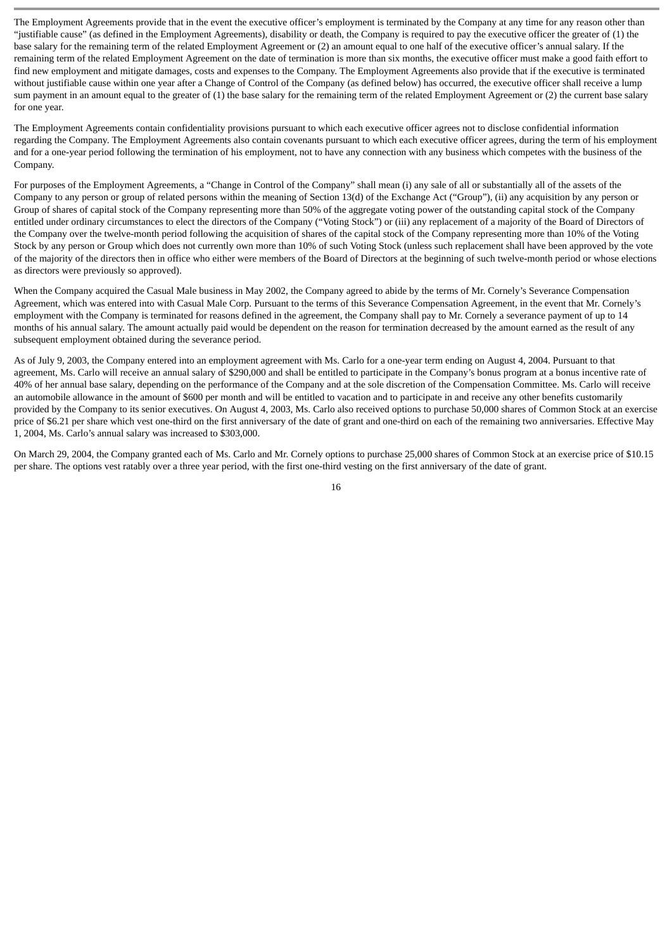The Employment Agreements provide that in the event the executive officer's employment is terminated by the Company at any time for any reason other than "justifiable cause" (as defined in the Employment Agreements), disability or death, the Company is required to pay the executive officer the greater of (1) the base salary for the remaining term of the related Employment Agreement or (2) an amount equal to one half of the executive officer's annual salary. If the remaining term of the related Employment Agreement on the date of termination is more than six months, the executive officer must make a good faith effort to find new employment and mitigate damages, costs and expenses to the Company. The Employment Agreements also provide that if the executive is terminated without justifiable cause within one year after a Change of Control of the Company (as defined below) has occurred, the executive officer shall receive a lump sum payment in an amount equal to the greater of (1) the base salary for the remaining term of the related Employment Agreement or (2) the current base salary for one year.

The Employment Agreements contain confidentiality provisions pursuant to which each executive officer agrees not to disclose confidential information regarding the Company. The Employment Agreements also contain covenants pursuant to which each executive officer agrees, during the term of his employment and for a one-year period following the termination of his employment, not to have any connection with any business which competes with the business of the Company.

For purposes of the Employment Agreements, a "Change in Control of the Company" shall mean (i) any sale of all or substantially all of the assets of the Company to any person or group of related persons within the meaning of Section 13(d) of the Exchange Act ("Group"), (ii) any acquisition by any person or Group of shares of capital stock of the Company representing more than 50% of the aggregate voting power of the outstanding capital stock of the Company entitled under ordinary circumstances to elect the directors of the Company ("Voting Stock") or (iii) any replacement of a majority of the Board of Directors of the Company over the twelve-month period following the acquisition of shares of the capital stock of the Company representing more than 10% of the Voting Stock by any person or Group which does not currently own more than 10% of such Voting Stock (unless such replacement shall have been approved by the vote of the majority of the directors then in office who either were members of the Board of Directors at the beginning of such twelve-month period or whose elections as directors were previously so approved).

When the Company acquired the Casual Male business in May 2002, the Company agreed to abide by the terms of Mr. Cornely's Severance Compensation Agreement, which was entered into with Casual Male Corp. Pursuant to the terms of this Severance Compensation Agreement, in the event that Mr. Cornely's employment with the Company is terminated for reasons defined in the agreement, the Company shall pay to Mr. Cornely a severance payment of up to 14 months of his annual salary. The amount actually paid would be dependent on the reason for termination decreased by the amount earned as the result of any subsequent employment obtained during the severance period.

As of July 9, 2003, the Company entered into an employment agreement with Ms. Carlo for a one-year term ending on August 4, 2004. Pursuant to that agreement, Ms. Carlo will receive an annual salary of \$290,000 and shall be entitled to participate in the Company's bonus program at a bonus incentive rate of 40% of her annual base salary, depending on the performance of the Company and at the sole discretion of the Compensation Committee. Ms. Carlo will receive an automobile allowance in the amount of \$600 per month and will be entitled to vacation and to participate in and receive any other benefits customarily provided by the Company to its senior executives. On August 4, 2003, Ms. Carlo also received options to purchase 50,000 shares of Common Stock at an exercise price of \$6.21 per share which vest one-third on the first anniversary of the date of grant and one-third on each of the remaining two anniversaries. Effective May 1, 2004, Ms. Carlo's annual salary was increased to \$303,000.

On March 29, 2004, the Company granted each of Ms. Carlo and Mr. Cornely options to purchase 25,000 shares of Common Stock at an exercise price of \$10.15 per share. The options vest ratably over a three year period, with the first one-third vesting on the first anniversary of the date of grant.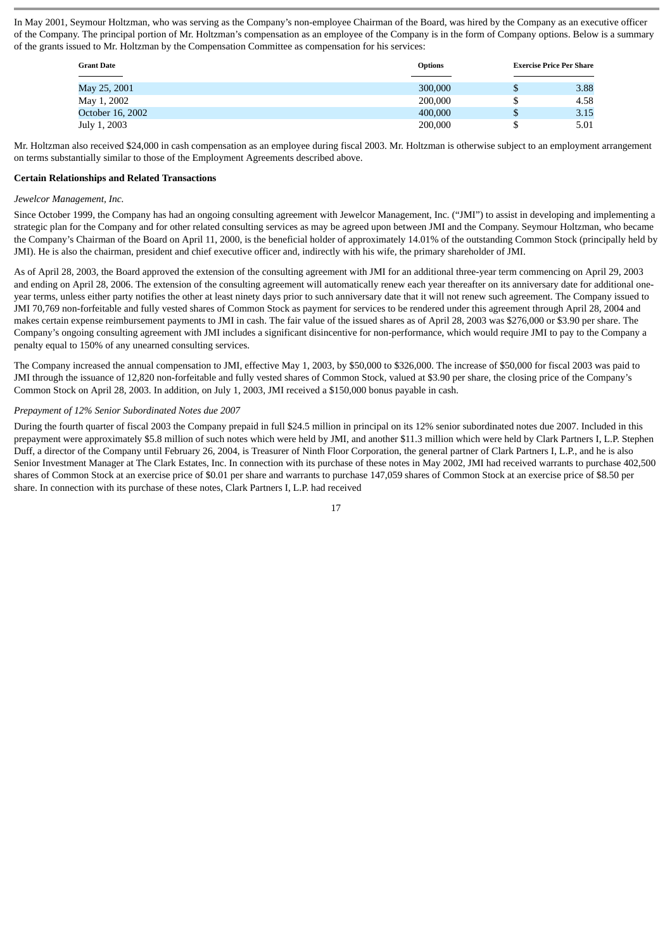In May 2001, Seymour Holtzman, who was serving as the Company's non-employee Chairman of the Board, was hired by the Company as an executive officer of the Company. The principal portion of Mr. Holtzman's compensation as an employee of the Company is in the form of Company options. Below is a summary of the grants issued to Mr. Holtzman by the Compensation Committee as compensation for his services:

| <b>Grant Date</b> | <b>Options</b> | <b>Exercise Price Per Share</b> |      |  |
|-------------------|----------------|---------------------------------|------|--|
|                   |                |                                 |      |  |
| May 25, 2001      | 300,000        | J                               | 3.88 |  |
| May 1, 2002       | 200,000        |                                 | 4.58 |  |
| October 16, 2002  | 400,000        | \$                              | 3.15 |  |
| July 1, 2003      | 200,000        |                                 | 5.01 |  |

Mr. Holtzman also received \$24,000 in cash compensation as an employee during fiscal 2003. Mr. Holtzman is otherwise subject to an employment arrangement on terms substantially similar to those of the Employment Agreements described above.

#### **Certain Relationships and Related Transactions**

#### *Jewelcor Management, Inc.*

Since October 1999, the Company has had an ongoing consulting agreement with Jewelcor Management, Inc. ("JMI") to assist in developing and implementing a strategic plan for the Company and for other related consulting services as may be agreed upon between JMI and the Company. Seymour Holtzman, who became the Company's Chairman of the Board on April 11, 2000, is the beneficial holder of approximately 14.01% of the outstanding Common Stock (principally held by JMI). He is also the chairman, president and chief executive officer and, indirectly with his wife, the primary shareholder of JMI.

As of April 28, 2003, the Board approved the extension of the consulting agreement with JMI for an additional three-year term commencing on April 29, 2003 and ending on April 28, 2006. The extension of the consulting agreement will automatically renew each year thereafter on its anniversary date for additional oneyear terms, unless either party notifies the other at least ninety days prior to such anniversary date that it will not renew such agreement. The Company issued to JMI 70,769 non-forfeitable and fully vested shares of Common Stock as payment for services to be rendered under this agreement through April 28, 2004 and makes certain expense reimbursement payments to JMI in cash. The fair value of the issued shares as of April 28, 2003 was \$276,000 or \$3.90 per share. The Company's ongoing consulting agreement with JMI includes a significant disincentive for non-performance, which would require JMI to pay to the Company a penalty equal to 150% of any unearned consulting services.

The Company increased the annual compensation to JMI, effective May 1, 2003, by \$50,000 to \$326,000. The increase of \$50,000 for fiscal 2003 was paid to JMI through the issuance of 12,820 non-forfeitable and fully vested shares of Common Stock, valued at \$3.90 per share, the closing price of the Company's Common Stock on April 28, 2003. In addition, on July 1, 2003, JMI received a \$150,000 bonus payable in cash.

#### *Prepayment of 12% Senior Subordinated Notes due 2007*

During the fourth quarter of fiscal 2003 the Company prepaid in full \$24.5 million in principal on its 12% senior subordinated notes due 2007. Included in this prepayment were approximately \$5.8 million of such notes which were held by JMI, and another \$11.3 million which were held by Clark Partners I, L.P. Stephen Duff, a director of the Company until February 26, 2004, is Treasurer of Ninth Floor Corporation, the general partner of Clark Partners I, L.P., and he is also Senior Investment Manager at The Clark Estates, Inc. In connection with its purchase of these notes in May 2002, JMI had received warrants to purchase 402,500 shares of Common Stock at an exercise price of \$0.01 per share and warrants to purchase 147,059 shares of Common Stock at an exercise price of \$8.50 per share. In connection with its purchase of these notes, Clark Partners I, L.P. had received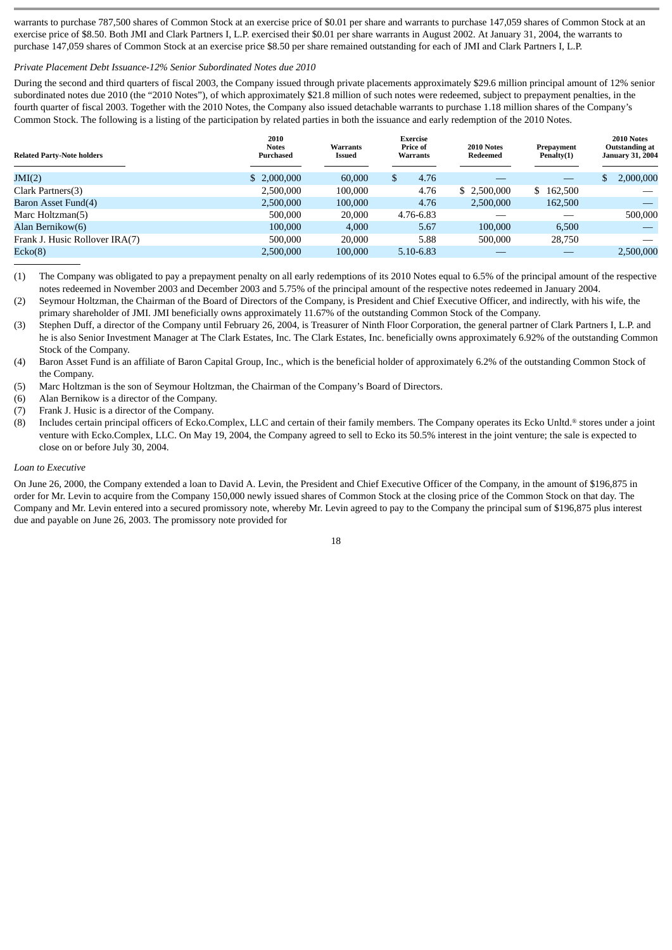warrants to purchase 787,500 shares of Common Stock at an exercise price of \$0.01 per share and warrants to purchase 147,059 shares of Common Stock at an exercise price of \$8.50. Both JMI and Clark Partners I, L.P. exercised their \$0.01 per share warrants in August 2002. At January 31, 2004, the warrants to purchase 147,059 shares of Common Stock at an exercise price \$8.50 per share remained outstanding for each of JMI and Clark Partners I, L.P.

### *Private Placement Debt Issuance-12% Senior Subordinated Notes due 2010*

During the second and third quarters of fiscal 2003, the Company issued through private placements approximately \$29.6 million principal amount of 12% senior subordinated notes due 2010 (the "2010 Notes"), of which approximately \$21.8 million of such notes were redeemed, subject to prepayment penalties, in the fourth quarter of fiscal 2003. Together with the 2010 Notes, the Company also issued detachable warrants to purchase 1.18 million shares of the Company's Common Stock. The following is a listing of the participation by related parties in both the issuance and early redemption of the 2010 Notes.

| <b>Related Party-Note holders</b> | 2010<br><b>Notes</b><br>Purchased | <b>Warrants</b><br>Issued | <b>Exercise</b><br>Price of<br><b>Warrants</b> |           | 2010 Notes<br>Redeemed | Prepayment<br>Penalty(1) | 2010 Notes<br>Outstanding at<br><b>January 31, 2004</b> |
|-----------------------------------|-----------------------------------|---------------------------|------------------------------------------------|-----------|------------------------|--------------------------|---------------------------------------------------------|
| JMI(2)                            | \$2,000,000                       | 60,000                    | \$                                             | 4.76      |                        |                          | 2,000,000                                               |
| Clark Partners(3)                 | 2.500.000                         | 100,000                   |                                                | 4.76      | \$2,500,000            | 162,500<br>\$            |                                                         |
| Baron Asset Fund(4)               | 2,500,000                         | 100,000                   |                                                | 4.76      | 2,500,000              | 162,500                  |                                                         |
| Marc Holtzman(5)                  | 500,000                           | 20,000                    |                                                | 4.76-6.83 |                        |                          | 500,000                                                 |
| Alan Bernikow(6)                  | 100,000                           | 4.000                     |                                                | 5.67      | 100,000                | 6.500                    |                                                         |
| Frank J. Husic Rollover IRA(7)    | 500,000                           | 20,000                    |                                                | 5.88      | 500,000                | 28,750                   |                                                         |
| Ecko(8)                           | 2,500,000                         | 100,000                   |                                                | 5.10-6.83 |                        |                          | 2,500,000                                               |
|                                   |                                   |                           |                                                |           |                        |                          |                                                         |

(1) The Company was obligated to pay a prepayment penalty on all early redemptions of its 2010 Notes equal to 6.5% of the principal amount of the respective notes redeemed in November 2003 and December 2003 and 5.75% of the principal amount of the respective notes redeemed in January 2004.

(2) Seymour Holtzman, the Chairman of the Board of Directors of the Company, is President and Chief Executive Officer, and indirectly, with his wife, the primary shareholder of JMI. JMI beneficially owns approximately 11.67% of the outstanding Common Stock of the Company.

(3) Stephen Duff, a director of the Company until February 26, 2004, is Treasurer of Ninth Floor Corporation, the general partner of Clark Partners I, L.P. and he is also Senior Investment Manager at The Clark Estates, Inc. The Clark Estates, Inc. beneficially owns approximately 6.92% of the outstanding Common Stock of the Company.

(4) Baron Asset Fund is an affiliate of Baron Capital Group, Inc., which is the beneficial holder of approximately 6.2% of the outstanding Common Stock of the Company.

- (5) Marc Holtzman is the son of Seymour Holtzman, the Chairman of the Company's Board of Directors.
- (6) Alan Bernikow is a director of the Company.
- (7) Frank J. Husic is a director of the Company.
- (8) Includes certain principal officers of Ecko.Complex, LLC and certain of their family members. The Company operates its Ecko Unltd.® stores under a joint venture with Ecko.Complex, LLC. On May 19, 2004, the Company agreed to sell to Ecko its 50.5% interest in the joint venture; the sale is expected to close on or before July 30, 2004.

### *Loan to Executive*

On June 26, 2000, the Company extended a loan to David A. Levin, the President and Chief Executive Officer of the Company, in the amount of \$196,875 in order for Mr. Levin to acquire from the Company 150,000 newly issued shares of Common Stock at the closing price of the Common Stock on that day. The Company and Mr. Levin entered into a secured promissory note, whereby Mr. Levin agreed to pay to the Company the principal sum of \$196,875 plus interest due and payable on June 26, 2003. The promissory note provided for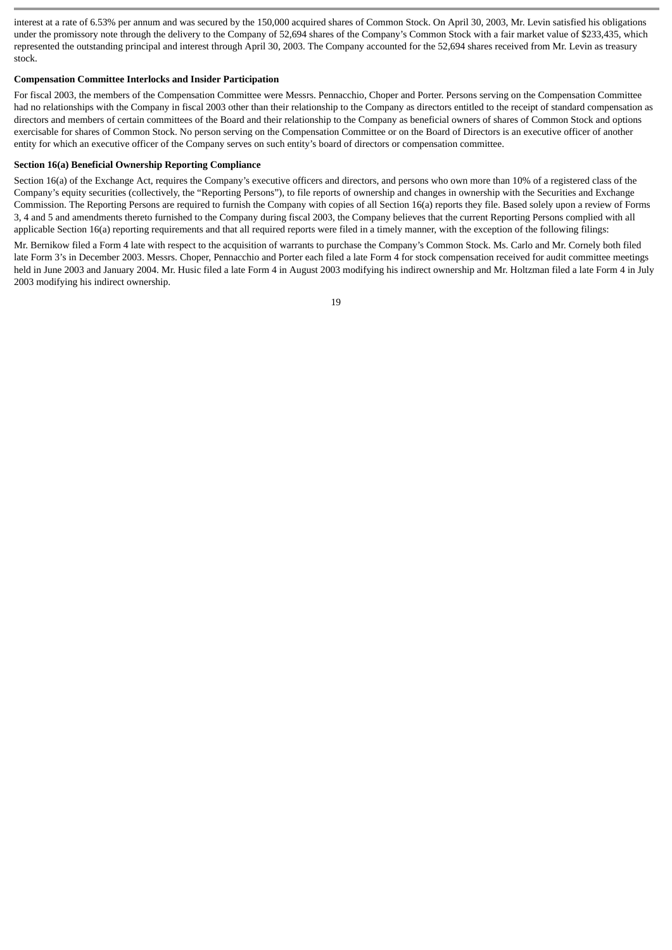interest at a rate of 6.53% per annum and was secured by the 150,000 acquired shares of Common Stock. On April 30, 2003, Mr. Levin satisfied his obligations under the promissory note through the delivery to the Company of 52,694 shares of the Company's Common Stock with a fair market value of \$233,435, which represented the outstanding principal and interest through April 30, 2003. The Company accounted for the 52,694 shares received from Mr. Levin as treasury stock.

### **Compensation Committee Interlocks and Insider Participation**

For fiscal 2003, the members of the Compensation Committee were Messrs. Pennacchio, Choper and Porter. Persons serving on the Compensation Committee had no relationships with the Company in fiscal 2003 other than their relationship to the Company as directors entitled to the receipt of standard compensation as directors and members of certain committees of the Board and their relationship to the Company as beneficial owners of shares of Common Stock and options exercisable for shares of Common Stock. No person serving on the Compensation Committee or on the Board of Directors is an executive officer of another entity for which an executive officer of the Company serves on such entity's board of directors or compensation committee.

#### **Section 16(a) Beneficial Ownership Reporting Compliance**

Section 16(a) of the Exchange Act, requires the Company's executive officers and directors, and persons who own more than 10% of a registered class of the Company's equity securities (collectively, the "Reporting Persons"), to file reports of ownership and changes in ownership with the Securities and Exchange Commission. The Reporting Persons are required to furnish the Company with copies of all Section 16(a) reports they file. Based solely upon a review of Forms 3, 4 and 5 and amendments thereto furnished to the Company during fiscal 2003, the Company believes that the current Reporting Persons complied with all applicable Section 16(a) reporting requirements and that all required reports were filed in a timely manner, with the exception of the following filings:

Mr. Bernikow filed a Form 4 late with respect to the acquisition of warrants to purchase the Company's Common Stock. Ms. Carlo and Mr. Cornely both filed late Form 3's in December 2003. Messrs. Choper, Pennacchio and Porter each filed a late Form 4 for stock compensation received for audit committee meetings held in June 2003 and January 2004. Mr. Husic filed a late Form 4 in August 2003 modifying his indirect ownership and Mr. Holtzman filed a late Form 4 in July 2003 modifying his indirect ownership.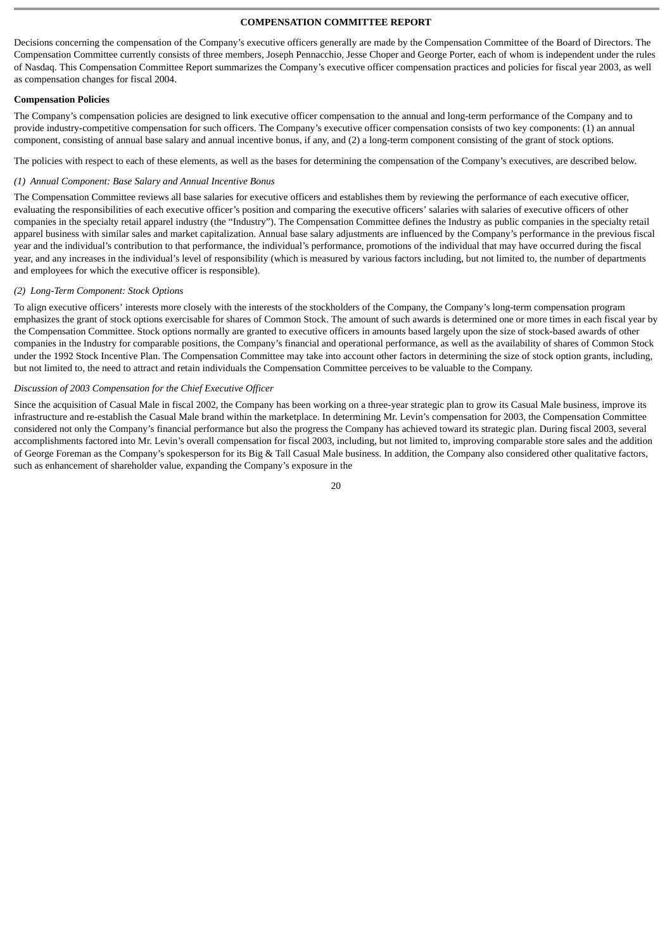#### **COMPENSATION COMMITTEE REPORT**

Decisions concerning the compensation of the Company's executive officers generally are made by the Compensation Committee of the Board of Directors. The Compensation Committee currently consists of three members, Joseph Pennacchio, Jesse Choper and George Porter, each of whom is independent under the rules of Nasdaq. This Compensation Committee Report summarizes the Company's executive officer compensation practices and policies for fiscal year 2003, as well as compensation changes for fiscal 2004.

#### **Compensation Policies**

The Company's compensation policies are designed to link executive officer compensation to the annual and long-term performance of the Company and to provide industry-competitive compensation for such officers. The Company's executive officer compensation consists of two key components: (1) an annual component, consisting of annual base salary and annual incentive bonus, if any, and (2) a long-term component consisting of the grant of stock options.

The policies with respect to each of these elements, as well as the bases for determining the compensation of the Company's executives, are described below.

### *(1) Annual Component: Base Salary and Annual Incentive Bonus*

The Compensation Committee reviews all base salaries for executive officers and establishes them by reviewing the performance of each executive officer, evaluating the responsibilities of each executive officer's position and comparing the executive officers' salaries with salaries of executive officers of other companies in the specialty retail apparel industry (the "Industry"). The Compensation Committee defines the Industry as public companies in the specialty retail apparel business with similar sales and market capitalization. Annual base salary adjustments are influenced by the Company's performance in the previous fiscal year and the individual's contribution to that performance, the individual's performance, promotions of the individual that may have occurred during the fiscal year, and any increases in the individual's level of responsibility (which is measured by various factors including, but not limited to, the number of departments and employees for which the executive officer is responsible).

#### *(2) Long-Term Component: Stock Options*

To align executive officers' interests more closely with the interests of the stockholders of the Company, the Company's long-term compensation program emphasizes the grant of stock options exercisable for shares of Common Stock. The amount of such awards is determined one or more times in each fiscal year by the Compensation Committee. Stock options normally are granted to executive officers in amounts based largely upon the size of stock-based awards of other companies in the Industry for comparable positions, the Company's financial and operational performance, as well as the availability of shares of Common Stock under the 1992 Stock Incentive Plan. The Compensation Committee may take into account other factors in determining the size of stock option grants, including, but not limited to, the need to attract and retain individuals the Compensation Committee perceives to be valuable to the Company.

#### *Discussion of 2003 Compensation for the Chief Executive Officer*

Since the acquisition of Casual Male in fiscal 2002, the Company has been working on a three-year strategic plan to grow its Casual Male business, improve its infrastructure and re-establish the Casual Male brand within the marketplace. In determining Mr. Levin's compensation for 2003, the Compensation Committee considered not only the Company's financial performance but also the progress the Company has achieved toward its strategic plan. During fiscal 2003, several accomplishments factored into Mr. Levin's overall compensation for fiscal 2003, including, but not limited to, improving comparable store sales and the addition of George Foreman as the Company's spokesperson for its Big & Tall Casual Male business. In addition, the Company also considered other qualitative factors, such as enhancement of shareholder value, expanding the Company's exposure in the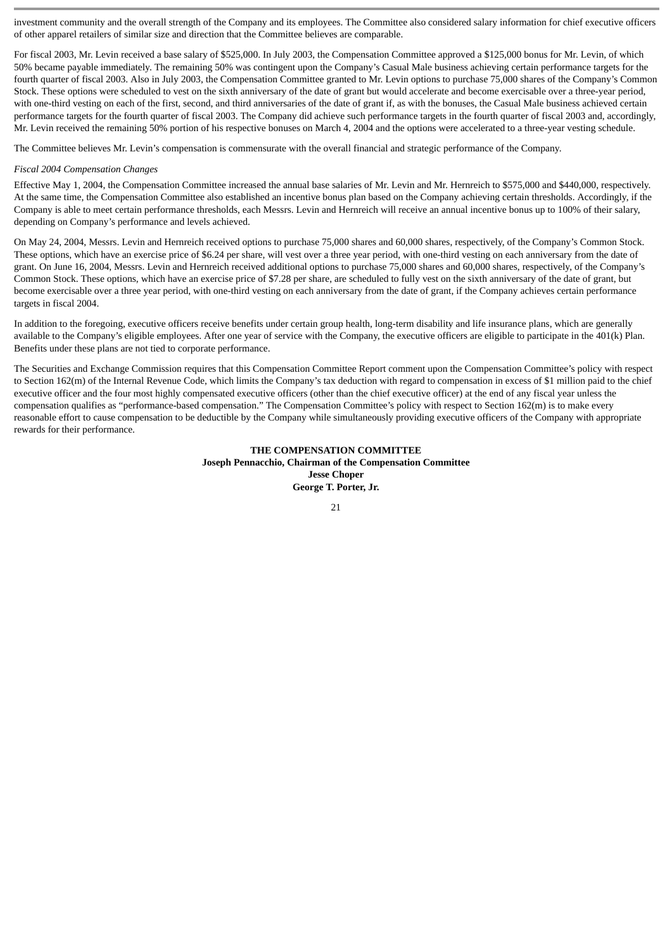investment community and the overall strength of the Company and its employees. The Committee also considered salary information for chief executive officers of other apparel retailers of similar size and direction that the Committee believes are comparable.

For fiscal 2003, Mr. Levin received a base salary of \$525,000. In July 2003, the Compensation Committee approved a \$125,000 bonus for Mr. Levin, of which 50% became payable immediately. The remaining 50% was contingent upon the Company's Casual Male business achieving certain performance targets for the fourth quarter of fiscal 2003. Also in July 2003, the Compensation Committee granted to Mr. Levin options to purchase 75,000 shares of the Company's Common Stock. These options were scheduled to vest on the sixth anniversary of the date of grant but would accelerate and become exercisable over a three-year period, with one-third vesting on each of the first, second, and third anniversaries of the date of grant if, as with the bonuses, the Casual Male business achieved certain performance targets for the fourth quarter of fiscal 2003. The Company did achieve such performance targets in the fourth quarter of fiscal 2003 and, accordingly, Mr. Levin received the remaining 50% portion of his respective bonuses on March 4, 2004 and the options were accelerated to a three-year vesting schedule.

The Committee believes Mr. Levin's compensation is commensurate with the overall financial and strategic performance of the Company.

#### *Fiscal 2004 Compensation Changes*

Effective May 1, 2004, the Compensation Committee increased the annual base salaries of Mr. Levin and Mr. Hernreich to \$575,000 and \$440,000, respectively. At the same time, the Compensation Committee also established an incentive bonus plan based on the Company achieving certain thresholds. Accordingly, if the Company is able to meet certain performance thresholds, each Messrs. Levin and Hernreich will receive an annual incentive bonus up to 100% of their salary, depending on Company's performance and levels achieved.

On May 24, 2004, Messrs. Levin and Hernreich received options to purchase 75,000 shares and 60,000 shares, respectively, of the Company's Common Stock. These options, which have an exercise price of \$6.24 per share, will vest over a three year period, with one-third vesting on each anniversary from the date of grant. On June 16, 2004, Messrs. Levin and Hernreich received additional options to purchase 75,000 shares and 60,000 shares, respectively, of the Company's Common Stock. These options, which have an exercise price of \$7.28 per share, are scheduled to fully vest on the sixth anniversary of the date of grant, but become exercisable over a three year period, with one-third vesting on each anniversary from the date of grant, if the Company achieves certain performance targets in fiscal 2004.

In addition to the foregoing, executive officers receive benefits under certain group health, long-term disability and life insurance plans, which are generally available to the Company's eligible employees. After one year of service with the Company, the executive officers are eligible to participate in the 401(k) Plan. Benefits under these plans are not tied to corporate performance.

The Securities and Exchange Commission requires that this Compensation Committee Report comment upon the Compensation Committee's policy with respect to Section 162(m) of the Internal Revenue Code, which limits the Company's tax deduction with regard to compensation in excess of \$1 million paid to the chief executive officer and the four most highly compensated executive officers (other than the chief executive officer) at the end of any fiscal year unless the compensation qualifies as "performance-based compensation." The Compensation Committee's policy with respect to Section 162(m) is to make every reasonable effort to cause compensation to be deductible by the Company while simultaneously providing executive officers of the Company with appropriate rewards for their performance.

### **THE COMPENSATION COMMITTEE Joseph Pennacchio, Chairman of the Compensation Committee Jesse Choper George T. Porter, Jr.**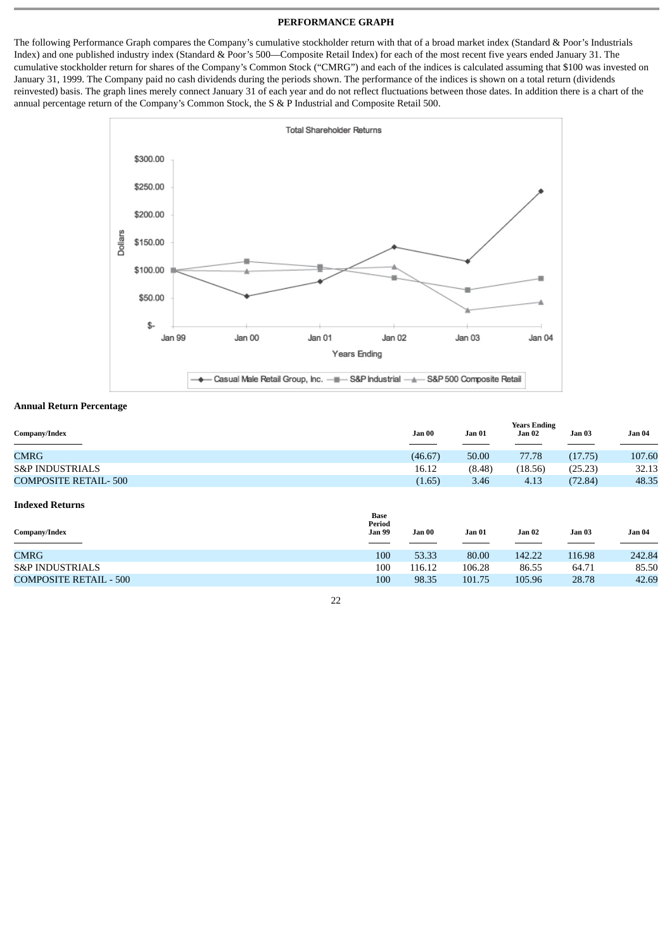### **PERFORMANCE GRAPH**

The following Performance Graph compares the Company's cumulative stockholder return with that of a broad market index (Standard & Poor's Industrials Index) and one published industry index (Standard & Poor's 500—Composite Retail Index) for each of the most recent five years ended January 31. The cumulative stockholder return for shares of the Company's Common Stock ("CMRG") and each of the indices is calculated assuming that \$100 was invested on January 31, 1999. The Company paid no cash dividends during the periods shown. The performance of the indices is shown on a total return (dividends reinvested) basis. The graph lines merely connect January 31 of each year and do not reflect fluctuations between those dates. In addition there is a chart of the annual percentage return of the Company's Common Stock, the S & P Industrial and Composite Retail 500.



### **Annual Return Percentage**

| Company/Index               | Jan 00  | <b>Jan 01</b> | <b>Years Ending</b><br>Jan 02 | Jan 03  | Jan 04 |
|-----------------------------|---------|---------------|-------------------------------|---------|--------|
| CMRG                        | (46.67) | 50.00         | 77.78                         | (17.75) | 107.60 |
| <b>S&amp;P INDUSTRIALS</b>  | 16.12   | (8.48)        | (18.56)                       | (25.23) | 32.13  |
| <b>COMPOSITE RETAIL-500</b> | (1.65)  | 3.46          | 4.13                          | (72.84) | 48.35  |

#### **Indexed Returns**

| Company/Index                 | <b>Base</b><br>Period<br><b>Jan 99</b> | Jan 00 | Jan 01 | <b>Jan 02</b> | <b>Jan 03</b> | Jan 04 |
|-------------------------------|----------------------------------------|--------|--------|---------------|---------------|--------|
| CMRG                          | 100                                    | 53.33  | 80.00  | 142.22        | 116.98        | 242.84 |
| <b>S&amp;P INDUSTRIALS</b>    | 100                                    | 116.12 | 106.28 | 86.55         | 64.71         | 85.50  |
| <b>COMPOSITE RETAIL - 500</b> | 100                                    | 98.35  | 101.75 | 105.96        | 28.78         | 42.69  |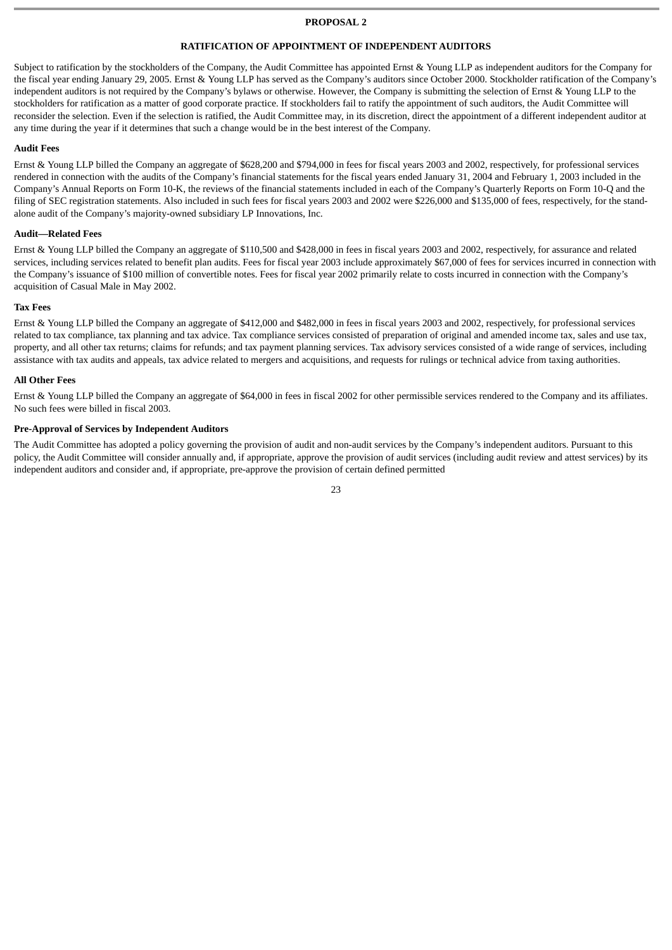#### **PROPOSAL 2**

### **RATIFICATION OF APPOINTMENT OF INDEPENDENT AUDITORS**

Subject to ratification by the stockholders of the Company, the Audit Committee has appointed Ernst & Young LLP as independent auditors for the Company for the fiscal year ending January 29, 2005. Ernst & Young LLP has served as the Company's auditors since October 2000. Stockholder ratification of the Company's independent auditors is not required by the Company's bylaws or otherwise. However, the Company is submitting the selection of Ernst & Young LLP to the stockholders for ratification as a matter of good corporate practice. If stockholders fail to ratify the appointment of such auditors, the Audit Committee will reconsider the selection. Even if the selection is ratified, the Audit Committee may, in its discretion, direct the appointment of a different independent auditor at any time during the year if it determines that such a change would be in the best interest of the Company.

#### **Audit Fees**

Ernst & Young LLP billed the Company an aggregate of \$628,200 and \$794,000 in fees for fiscal years 2003 and 2002, respectively, for professional services rendered in connection with the audits of the Company's financial statements for the fiscal years ended January 31, 2004 and February 1, 2003 included in the Company's Annual Reports on Form 10-K, the reviews of the financial statements included in each of the Company's Quarterly Reports on Form 10-Q and the filing of SEC registration statements. Also included in such fees for fiscal years 2003 and 2002 were \$226,000 and \$135,000 of fees, respectively, for the standalone audit of the Company's majority-owned subsidiary LP Innovations, Inc.

#### **Audit—Related Fees**

Ernst & Young LLP billed the Company an aggregate of \$110,500 and \$428,000 in fees in fiscal years 2003 and 2002, respectively, for assurance and related services, including services related to benefit plan audits. Fees for fiscal year 2003 include approximately \$67,000 of fees for services incurred in connection with the Company's issuance of \$100 million of convertible notes. Fees for fiscal year 2002 primarily relate to costs incurred in connection with the Company's acquisition of Casual Male in May 2002.

#### **Tax Fees**

Ernst & Young LLP billed the Company an aggregate of \$412,000 and \$482,000 in fees in fiscal years 2003 and 2002, respectively, for professional services related to tax compliance, tax planning and tax advice. Tax compliance services consisted of preparation of original and amended income tax, sales and use tax, property, and all other tax returns; claims for refunds; and tax payment planning services. Tax advisory services consisted of a wide range of services, including assistance with tax audits and appeals, tax advice related to mergers and acquisitions, and requests for rulings or technical advice from taxing authorities.

#### **All Other Fees**

Ernst & Young LLP billed the Company an aggregate of \$64,000 in fees in fiscal 2002 for other permissible services rendered to the Company and its affiliates. No such fees were billed in fiscal 2003.

#### **Pre-Approval of Services by Independent Auditors**

The Audit Committee has adopted a policy governing the provision of audit and non-audit services by the Company's independent auditors. Pursuant to this policy, the Audit Committee will consider annually and, if appropriate, approve the provision of audit services (including audit review and attest services) by its independent auditors and consider and, if appropriate, pre-approve the provision of certain defined permitted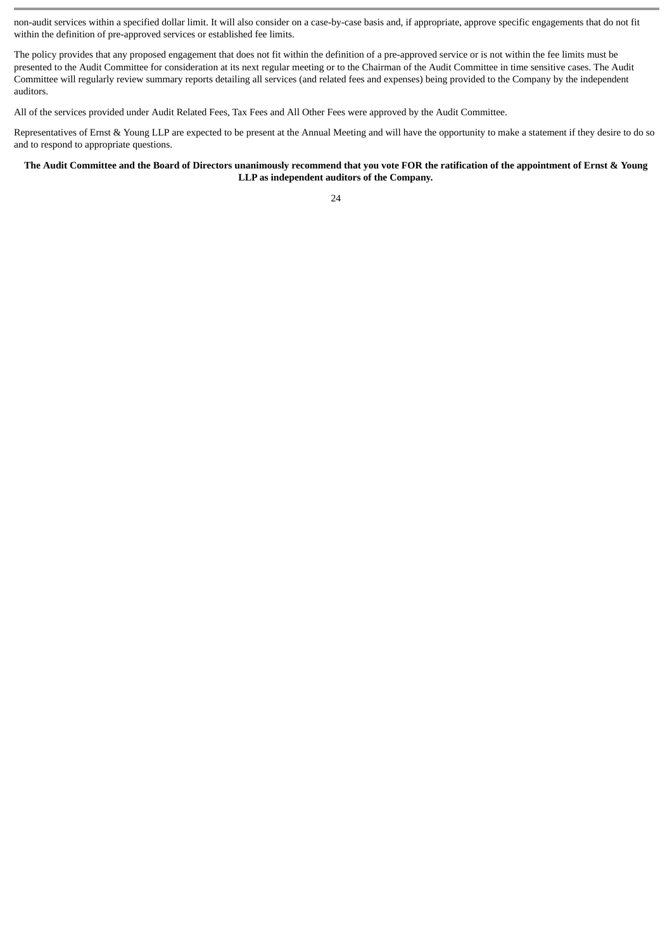non-audit services within a specified dollar limit. It will also consider on a case-by-case basis and, if appropriate, approve specific engagements that do not fit within the definition of pre-approved services or established fee limits.

The policy provides that any proposed engagement that does not fit within the definition of a pre-approved service or is not within the fee limits must be presented to the Audit Committee for consideration at its next regular meeting or to the Chairman of the Audit Committee in time sensitive cases. The Audit Committee will regularly review summary reports detailing all services (and related fees and expenses) being provided to the Company by the independent auditors.

All of the services provided under Audit Related Fees, Tax Fees and All Other Fees were approved by the Audit Committee.

Representatives of Ernst & Young LLP are expected to be present at the Annual Meeting and will have the opportunity to make a statement if they desire to do so and to respond to appropriate questions.

### **The Audit Committee and the Board of Directors unanimously recommend that you vote FOR the ratification of the appointment of Ernst & Young LLP as independent auditors of the Company.**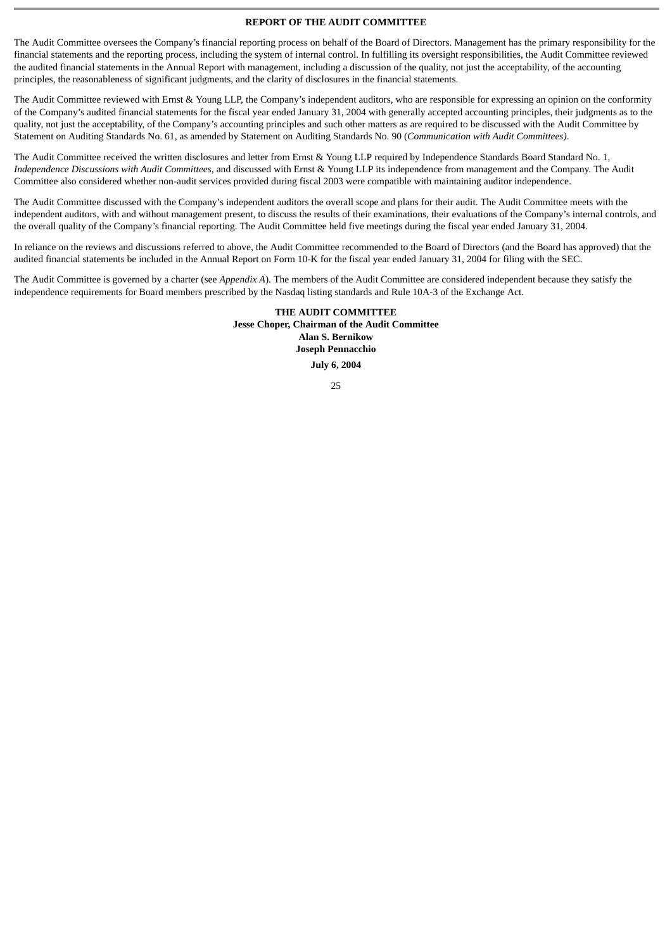### **REPORT OF THE AUDIT COMMITTEE**

The Audit Committee oversees the Company's financial reporting process on behalf of the Board of Directors. Management has the primary responsibility for the financial statements and the reporting process, including the system of internal control. In fulfilling its oversight responsibilities, the Audit Committee reviewed the audited financial statements in the Annual Report with management, including a discussion of the quality, not just the acceptability, of the accounting principles, the reasonableness of significant judgments, and the clarity of disclosures in the financial statements.

The Audit Committee reviewed with Ernst & Young LLP, the Company's independent auditors, who are responsible for expressing an opinion on the conformity of the Company's audited financial statements for the fiscal year ended January 31, 2004 with generally accepted accounting principles, their judgments as to the quality, not just the acceptability, of the Company's accounting principles and such other matters as are required to be discussed with the Audit Committee by Statement on Auditing Standards No. 61, as amended by Statement on Auditing Standards No. 90 (*Communication with Audit Committees)*.

The Audit Committee received the written disclosures and letter from Ernst & Young LLP required by Independence Standards Board Standard No. 1, *Independence Discussions with Audit Committees*, and discussed with Ernst & Young LLP its independence from management and the Company. The Audit Committee also considered whether non-audit services provided during fiscal 2003 were compatible with maintaining auditor independence.

The Audit Committee discussed with the Company's independent auditors the overall scope and plans for their audit. The Audit Committee meets with the independent auditors, with and without management present, to discuss the results of their examinations, their evaluations of the Company's internal controls, and the overall quality of the Company's financial reporting. The Audit Committee held five meetings during the fiscal year ended January 31, 2004.

In reliance on the reviews and discussions referred to above, the Audit Committee recommended to the Board of Directors (and the Board has approved) that the audited financial statements be included in the Annual Report on Form 10-K for the fiscal year ended January 31, 2004 for filing with the SEC.

The Audit Committee is governed by a charter (see *Appendix A*). The members of the Audit Committee are considered independent because they satisfy the independence requirements for Board members prescribed by the Nasdaq listing standards and Rule 10A-3 of the Exchange Act.

> **THE AUDIT COMMITTEE Jesse Choper, Chairman of the Audit Committee Alan S. Bernikow Joseph Pennacchio July 6, 2004**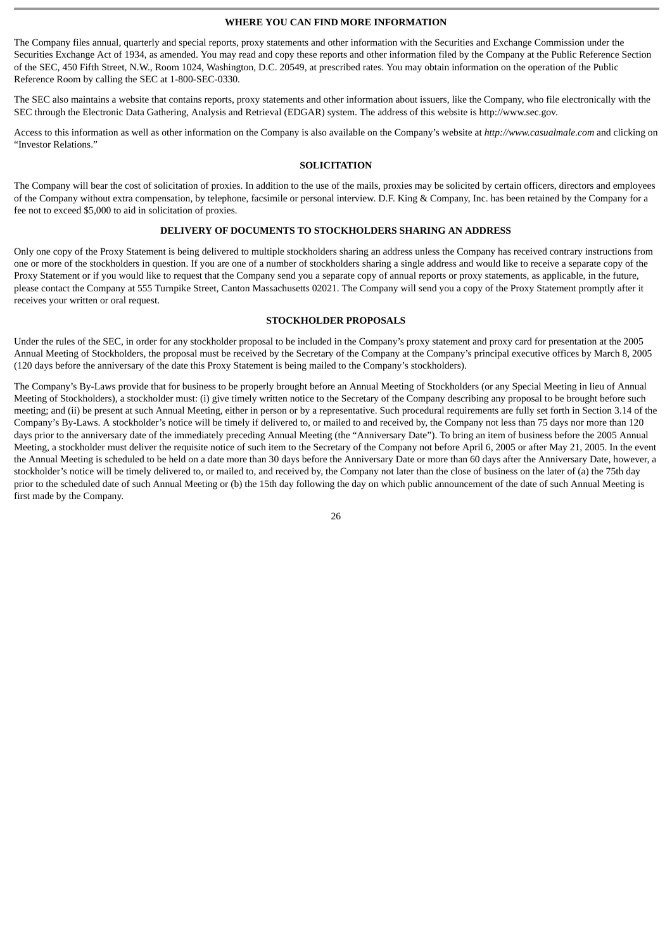#### **WHERE YOU CAN FIND MORE INFORMATION**

The Company files annual, quarterly and special reports, proxy statements and other information with the Securities and Exchange Commission under the Securities Exchange Act of 1934, as amended. You may read and copy these reports and other information filed by the Company at the Public Reference Section of the SEC, 450 Fifth Street, N.W., Room 1024, Washington, D.C. 20549, at prescribed rates. You may obtain information on the operation of the Public Reference Room by calling the SEC at 1-800-SEC-0330.

The SEC also maintains a website that contains reports, proxy statements and other information about issuers, like the Company, who file electronically with the SEC through the Electronic Data Gathering, Analysis and Retrieval (EDGAR) system. The address of this website is http://www.sec.gov.

Access to this information as well as other information on the Company is also available on the Company's website at *http://www.casualmale.com* and clicking on "Investor Relations."

#### **SOLICITATION**

The Company will bear the cost of solicitation of proxies. In addition to the use of the mails, proxies may be solicited by certain officers, directors and employees of the Company without extra compensation, by telephone, facsimile or personal interview. D.F. King & Company, Inc. has been retained by the Company for a fee not to exceed \$5,000 to aid in solicitation of proxies.

### **DELIVERY OF DOCUMENTS TO STOCKHOLDERS SHARING AN ADDRESS**

Only one copy of the Proxy Statement is being delivered to multiple stockholders sharing an address unless the Company has received contrary instructions from one or more of the stockholders in question. If you are one of a number of stockholders sharing a single address and would like to receive a separate copy of the Proxy Statement or if you would like to request that the Company send you a separate copy of annual reports or proxy statements, as applicable, in the future, please contact the Company at 555 Turnpike Street, Canton Massachusetts 02021. The Company will send you a copy of the Proxy Statement promptly after it receives your written or oral request.

### **STOCKHOLDER PROPOSALS**

Under the rules of the SEC, in order for any stockholder proposal to be included in the Company's proxy statement and proxy card for presentation at the 2005 Annual Meeting of Stockholders, the proposal must be received by the Secretary of the Company at the Company's principal executive offices by March 8, 2005 (120 days before the anniversary of the date this Proxy Statement is being mailed to the Company's stockholders).

The Company's By-Laws provide that for business to be properly brought before an Annual Meeting of Stockholders (or any Special Meeting in lieu of Annual Meeting of Stockholders), a stockholder must: (i) give timely written notice to the Secretary of the Company describing any proposal to be brought before such meeting; and (ii) be present at such Annual Meeting, either in person or by a representative. Such procedural requirements are fully set forth in Section 3.14 of the Company's By-Laws. A stockholder's notice will be timely if delivered to, or mailed to and received by, the Company not less than 75 days nor more than 120 days prior to the anniversary date of the immediately preceding Annual Meeting (the "Anniversary Date"). To bring an item of business before the 2005 Annual Meeting, a stockholder must deliver the requisite notice of such item to the Secretary of the Company not before April 6, 2005 or after May 21, 2005. In the event the Annual Meeting is scheduled to be held on a date more than 30 days before the Anniversary Date or more than 60 days after the Anniversary Date, however, a stockholder's notice will be timely delivered to, or mailed to, and received by, the Company not later than the close of business on the later of (a) the 75th day prior to the scheduled date of such Annual Meeting or (b) the 15th day following the day on which public announcement of the date of such Annual Meeting is first made by the Company.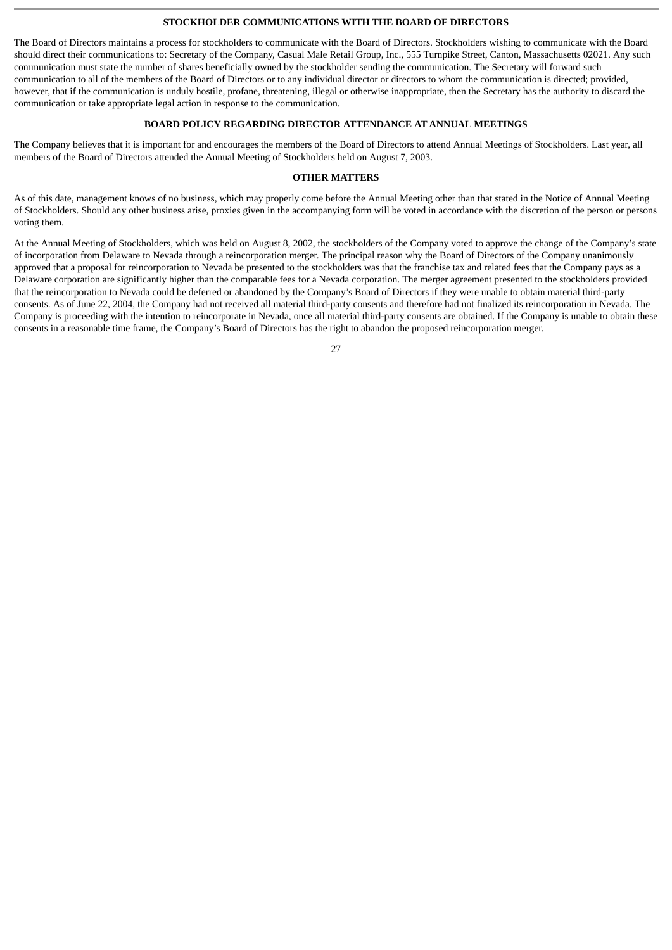### **STOCKHOLDER COMMUNICATIONS WITH THE BOARD OF DIRECTORS**

The Board of Directors maintains a process for stockholders to communicate with the Board of Directors. Stockholders wishing to communicate with the Board should direct their communications to: Secretary of the Company, Casual Male Retail Group, Inc., 555 Turnpike Street, Canton, Massachusetts 02021. Any such communication must state the number of shares beneficially owned by the stockholder sending the communication. The Secretary will forward such communication to all of the members of the Board of Directors or to any individual director or directors to whom the communication is directed; provided, however, that if the communication is unduly hostile, profane, threatening, illegal or otherwise inappropriate, then the Secretary has the authority to discard the communication or take appropriate legal action in response to the communication.

### **BOARD POLICY REGARDING DIRECTOR ATTENDANCE AT ANNUAL MEETINGS**

The Company believes that it is important for and encourages the members of the Board of Directors to attend Annual Meetings of Stockholders. Last year, all members of the Board of Directors attended the Annual Meeting of Stockholders held on August 7, 2003.

### **OTHER MATTERS**

As of this date, management knows of no business, which may properly come before the Annual Meeting other than that stated in the Notice of Annual Meeting of Stockholders. Should any other business arise, proxies given in the accompanying form will be voted in accordance with the discretion of the person or persons voting them.

At the Annual Meeting of Stockholders, which was held on August 8, 2002, the stockholders of the Company voted to approve the change of the Company's state of incorporation from Delaware to Nevada through a reincorporation merger. The principal reason why the Board of Directors of the Company unanimously approved that a proposal for reincorporation to Nevada be presented to the stockholders was that the franchise tax and related fees that the Company pays as a Delaware corporation are significantly higher than the comparable fees for a Nevada corporation. The merger agreement presented to the stockholders provided that the reincorporation to Nevada could be deferred or abandoned by the Company's Board of Directors if they were unable to obtain material third-party consents. As of June 22, 2004, the Company had not received all material third-party consents and therefore had not finalized its reincorporation in Nevada. The Company is proceeding with the intention to reincorporate in Nevada, once all material third-party consents are obtained. If the Company is unable to obtain these consents in a reasonable time frame, the Company's Board of Directors has the right to abandon the proposed reincorporation merger.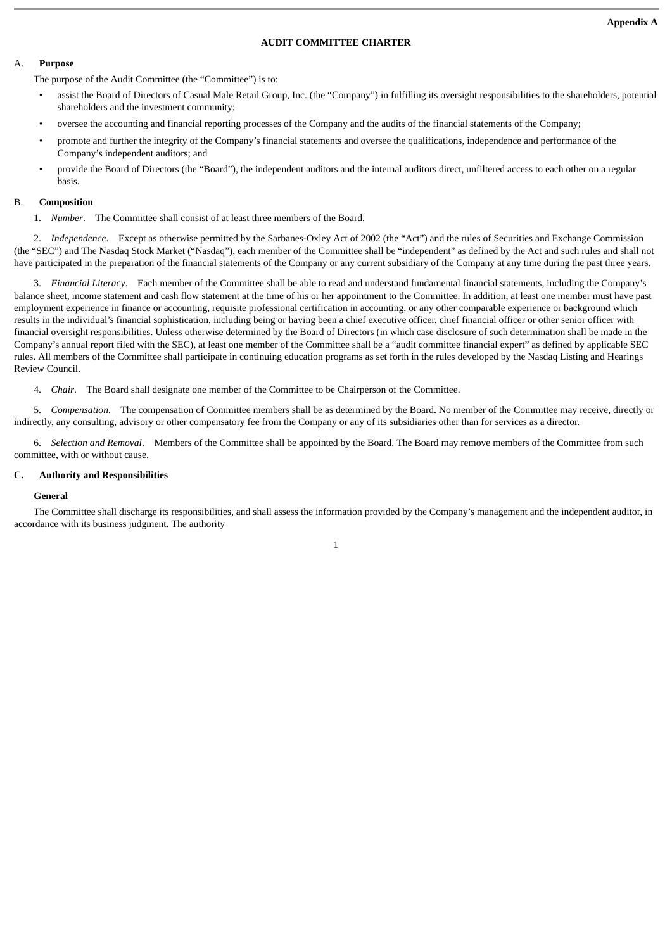### **AUDIT COMMITTEE CHARTER**

#### A. **Purpose**

The purpose of the Audit Committee (the "Committee") is to:

- assist the Board of Directors of Casual Male Retail Group, Inc. (the "Company") in fulfilling its oversight responsibilities to the shareholders, potential shareholders and the investment community;
- oversee the accounting and financial reporting processes of the Company and the audits of the financial statements of the Company;
- promote and further the integrity of the Company's financial statements and oversee the qualifications, independence and performance of the Company's independent auditors; and
- provide the Board of Directors (the "Board"), the independent auditors and the internal auditors direct, unfiltered access to each other on a regular basis.

#### B. **Composition**

1. *Number*. The Committee shall consist of at least three members of the Board.

 2. *Independence*. Except as otherwise permitted by the Sarbanes-Oxley Act of 2002 (the "Act") and the rules of Securities and Exchange Commission (the "SEC") and The Nasdaq Stock Market ("Nasdaq"), each member of the Committee shall be "independent" as defined by the Act and such rules and shall not have participated in the preparation of the financial statements of the Company or any current subsidiary of the Company at any time during the past three years.

 3. *Financial Literacy*. Each member of the Committee shall be able to read and understand fundamental financial statements, including the Company's balance sheet, income statement and cash flow statement at the time of his or her appointment to the Committee. In addition, at least one member must have past employment experience in finance or accounting, requisite professional certification in accounting, or any other comparable experience or background which results in the individual's financial sophistication, including being or having been a chief executive officer, chief financial officer or other senior officer with financial oversight responsibilities. Unless otherwise determined by the Board of Directors (in which case disclosure of such determination shall be made in the Company's annual report filed with the SEC), at least one member of the Committee shall be a "audit committee financial expert" as defined by applicable SEC rules. All members of the Committee shall participate in continuing education programs as set forth in the rules developed by the Nasdaq Listing and Hearings Review Council.

4. *Chair*. The Board shall designate one member of the Committee to be Chairperson of the Committee.

 5. *Compensation*. The compensation of Committee members shall be as determined by the Board. No member of the Committee may receive, directly or indirectly, any consulting, advisory or other compensatory fee from the Company or any of its subsidiaries other than for services as a director.

 6. *Selection and Removal*. Members of the Committee shall be appointed by the Board. The Board may remove members of the Committee from such committee, with or without cause.

### **C. Authority and Responsibilities**

#### **General**

 The Committee shall discharge its responsibilities, and shall assess the information provided by the Company's management and the independent auditor, in accordance with its business judgment. The authority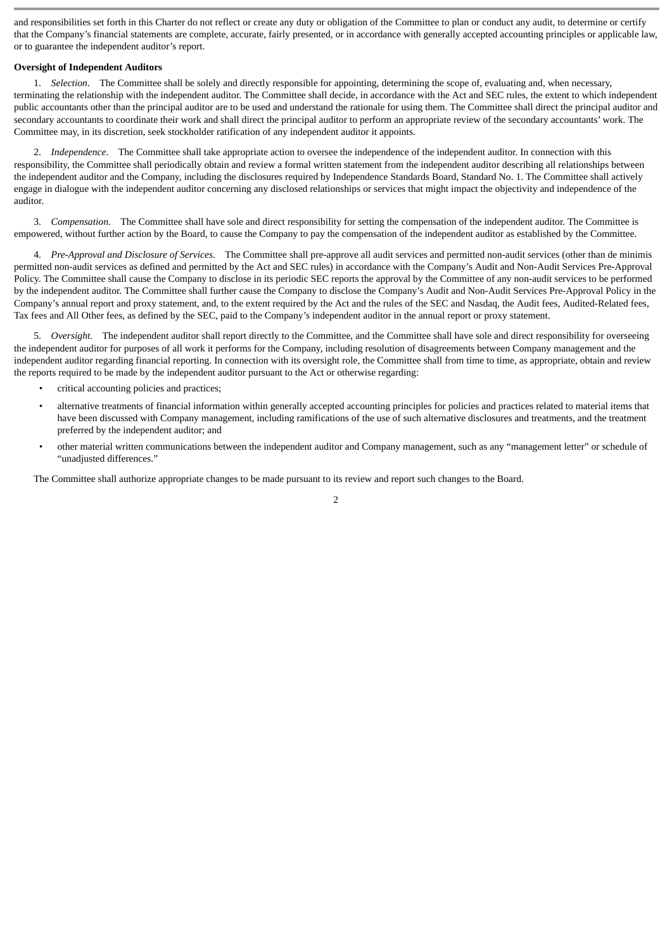and responsibilities set forth in this Charter do not reflect or create any duty or obligation of the Committee to plan or conduct any audit, to determine or certify that the Company's financial statements are complete, accurate, fairly presented, or in accordance with generally accepted accounting principles or applicable law, or to guarantee the independent auditor's report.

### **Oversight of Independent Auditors**

 1. *Selection*. The Committee shall be solely and directly responsible for appointing, determining the scope of, evaluating and, when necessary, terminating the relationship with the independent auditor. The Committee shall decide, in accordance with the Act and SEC rules, the extent to which independent public accountants other than the principal auditor are to be used and understand the rationale for using them. The Committee shall direct the principal auditor and secondary accountants to coordinate their work and shall direct the principal auditor to perform an appropriate review of the secondary accountants' work. The Committee may, in its discretion, seek stockholder ratification of any independent auditor it appoints.

 2. *Independence*. The Committee shall take appropriate action to oversee the independence of the independent auditor. In connection with this responsibility, the Committee shall periodically obtain and review a formal written statement from the independent auditor describing all relationships between the independent auditor and the Company, including the disclosures required by Independence Standards Board, Standard No. 1. The Committee shall actively engage in dialogue with the independent auditor concerning any disclosed relationships or services that might impact the objectivity and independence of the auditor.

 3. *Compensation*. The Committee shall have sole and direct responsibility for setting the compensation of the independent auditor. The Committee is empowered, without further action by the Board, to cause the Company to pay the compensation of the independent auditor as established by the Committee.

 4. *Pre-Approval and Disclosure of Services*. The Committee shall pre-approve all audit services and permitted non-audit services (other than de minimis permitted non-audit services as defined and permitted by the Act and SEC rules) in accordance with the Company's Audit and Non-Audit Services Pre-Approval Policy. The Committee shall cause the Company to disclose in its periodic SEC reports the approval by the Committee of any non-audit services to be performed by the independent auditor. The Committee shall further cause the Company to disclose the Company's Audit and Non-Audit Services Pre-Approval Policy in the Company's annual report and proxy statement, and, to the extent required by the Act and the rules of the SEC and Nasdaq, the Audit fees, Audited-Related fees, Tax fees and All Other fees, as defined by the SEC, paid to the Company's independent auditor in the annual report or proxy statement.

 5. *Oversight*. The independent auditor shall report directly to the Committee, and the Committee shall have sole and direct responsibility for overseeing the independent auditor for purposes of all work it performs for the Company, including resolution of disagreements between Company management and the independent auditor regarding financial reporting. In connection with its oversight role, the Committee shall from time to time, as appropriate, obtain and review the reports required to be made by the independent auditor pursuant to the Act or otherwise regarding:

- critical accounting policies and practices;
- alternative treatments of financial information within generally accepted accounting principles for policies and practices related to material items that have been discussed with Company management, including ramifications of the use of such alternative disclosures and treatments, and the treatment preferred by the independent auditor; and
- other material written communications between the independent auditor and Company management, such as any "management letter" or schedule of "unadjusted differences."

The Committee shall authorize appropriate changes to be made pursuant to its review and report such changes to the Board.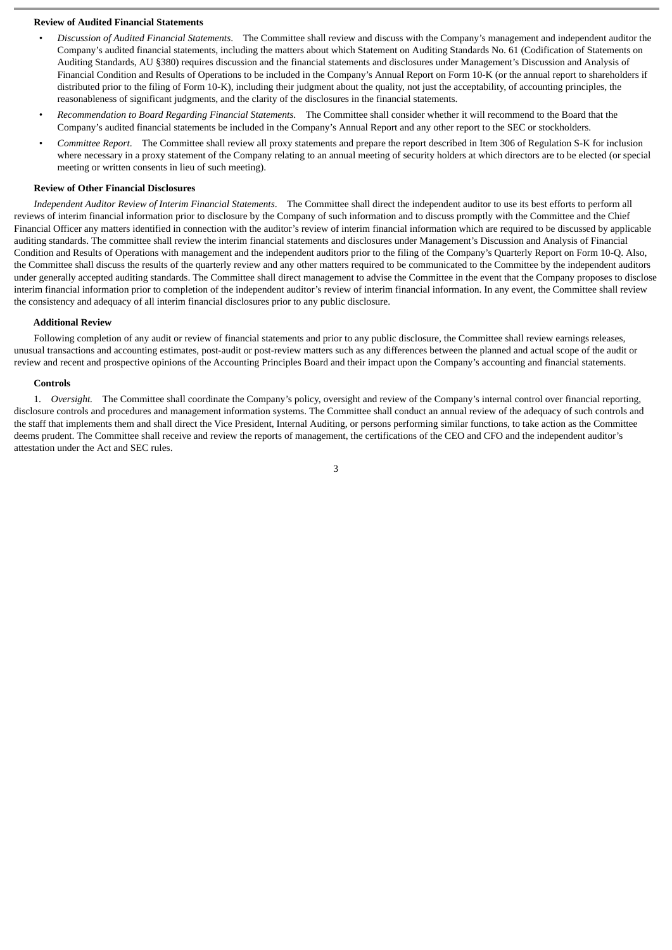#### **Review of Audited Financial Statements**

- *Discussion of Audited Financial Statements*. The Committee shall review and discuss with the Company's management and independent auditor the Company's audited financial statements, including the matters about which Statement on Auditing Standards No. 61 (Codification of Statements on Auditing Standards, AU §380) requires discussion and the financial statements and disclosures under Management's Discussion and Analysis of Financial Condition and Results of Operations to be included in the Company's Annual Report on Form 10-K (or the annual report to shareholders if distributed prior to the filing of Form 10-K), including their judgment about the quality, not just the acceptability, of accounting principles, the reasonableness of significant judgments, and the clarity of the disclosures in the financial statements.
- *Recommendation to Board Regarding Financial Statements*. The Committee shall consider whether it will recommend to the Board that the Company's audited financial statements be included in the Company's Annual Report and any other report to the SEC or stockholders.
- *Committee Report*. The Committee shall review all proxy statements and prepare the report described in Item 306 of Regulation S-K for inclusion where necessary in a proxy statement of the Company relating to an annual meeting of security holders at which directors are to be elected (or special meeting or written consents in lieu of such meeting).

### **Review of Other Financial Disclosures**

 *Independent Auditor Review of Interim Financial Statements*. The Committee shall direct the independent auditor to use its best efforts to perform all reviews of interim financial information prior to disclosure by the Company of such information and to discuss promptly with the Committee and the Chief Financial Officer any matters identified in connection with the auditor's review of interim financial information which are required to be discussed by applicable auditing standards. The committee shall review the interim financial statements and disclosures under Management's Discussion and Analysis of Financial Condition and Results of Operations with management and the independent auditors prior to the filing of the Company's Quarterly Report on Form 10-Q. Also, the Committee shall discuss the results of the quarterly review and any other matters required to be communicated to the Committee by the independent auditors under generally accepted auditing standards. The Committee shall direct management to advise the Committee in the event that the Company proposes to disclose interim financial information prior to completion of the independent auditor's review of interim financial information. In any event, the Committee shall review the consistency and adequacy of all interim financial disclosures prior to any public disclosure.

#### **Additional Review**

Following completion of any audit or review of financial statements and prior to any public disclosure, the Committee shall review earnings releases, unusual transactions and accounting estimates, post-audit or post-review matters such as any differences between the planned and actual scope of the audit or review and recent and prospective opinions of the Accounting Principles Board and their impact upon the Company's accounting and financial statements.

#### **Controls**

 1. *Oversight.* The Committee shall coordinate the Company's policy, oversight and review of the Company's internal control over financial reporting, disclosure controls and procedures and management information systems. The Committee shall conduct an annual review of the adequacy of such controls and the staff that implements them and shall direct the Vice President, Internal Auditing, or persons performing similar functions, to take action as the Committee deems prudent. The Committee shall receive and review the reports of management, the certifications of the CEO and CFO and the independent auditor's attestation under the Act and SEC rules.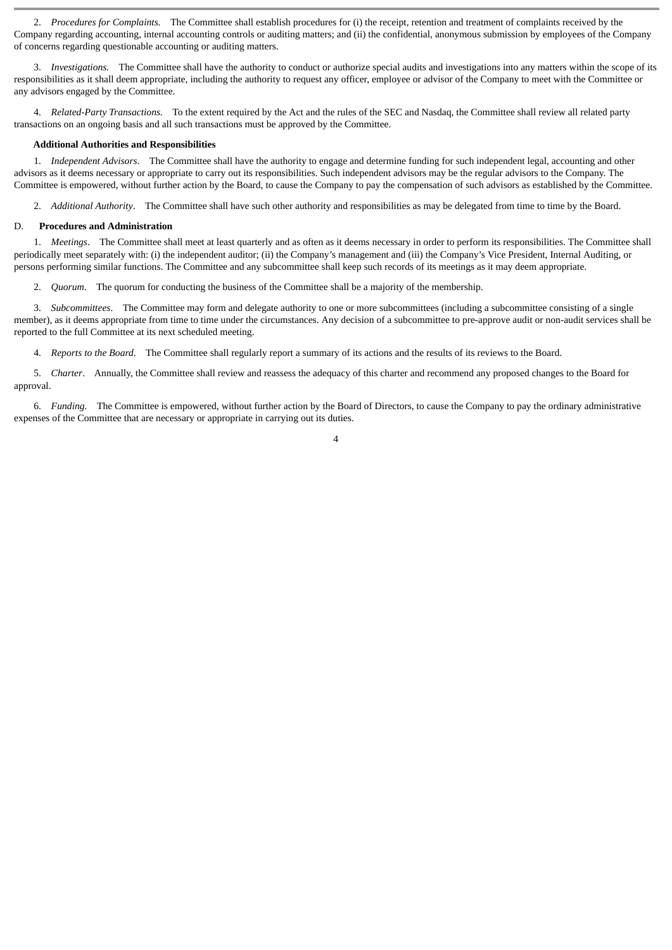2. *Procedures for Complaints.* The Committee shall establish procedures for (i) the receipt, retention and treatment of complaints received by the Company regarding accounting, internal accounting controls or auditing matters; and (ii) the confidential, anonymous submission by employees of the Company of concerns regarding questionable accounting or auditing matters.

 3. *Investigations.* The Committee shall have the authority to conduct or authorize special audits and investigations into any matters within the scope of its responsibilities as it shall deem appropriate, including the authority to request any officer, employee or advisor of the Company to meet with the Committee or any advisors engaged by the Committee.

 4. *Related-Party Transactions.* To the extent required by the Act and the rules of the SEC and Nasdaq, the Committee shall review all related party transactions on an ongoing basis and all such transactions must be approved by the Committee.

#### **Additional Authorities and Responsibilities**

 1. *Independent Advisors*. The Committee shall have the authority to engage and determine funding for such independent legal, accounting and other advisors as it deems necessary or appropriate to carry out its responsibilities. Such independent advisors may be the regular advisors to the Company. The Committee is empowered, without further action by the Board, to cause the Company to pay the compensation of such advisors as established by the Committee.

2. *Additional Authority*. The Committee shall have such other authority and responsibilities as may be delegated from time to time by the Board.

#### D. **Procedures and Administration**

 1. *Meetings*. The Committee shall meet at least quarterly and as often as it deems necessary in order to perform its responsibilities. The Committee shall periodically meet separately with: (i) the independent auditor; (ii) the Company's management and (iii) the Company's Vice President, Internal Auditing, or persons performing similar functions. The Committee and any subcommittee shall keep such records of its meetings as it may deem appropriate.

2. *Quorum*. The quorum for conducting the business of the Committee shall be a majority of the membership.

 3. *Subcommittees*. The Committee may form and delegate authority to one or more subcommittees (including a subcommittee consisting of a single member), as it deems appropriate from time to time under the circumstances. Any decision of a subcommittee to pre-approve audit or non-audit services shall be reported to the full Committee at its next scheduled meeting.

4. *Reports to the Board*. The Committee shall regularly report a summary of its actions and the results of its reviews to the Board.

 5. *Charter*. Annually, the Committee shall review and reassess the adequacy of this charter and recommend any proposed changes to the Board for approval.

 6. *Funding*. The Committee is empowered, without further action by the Board of Directors, to cause the Company to pay the ordinary administrative expenses of the Committee that are necessary or appropriate in carrying out its duties.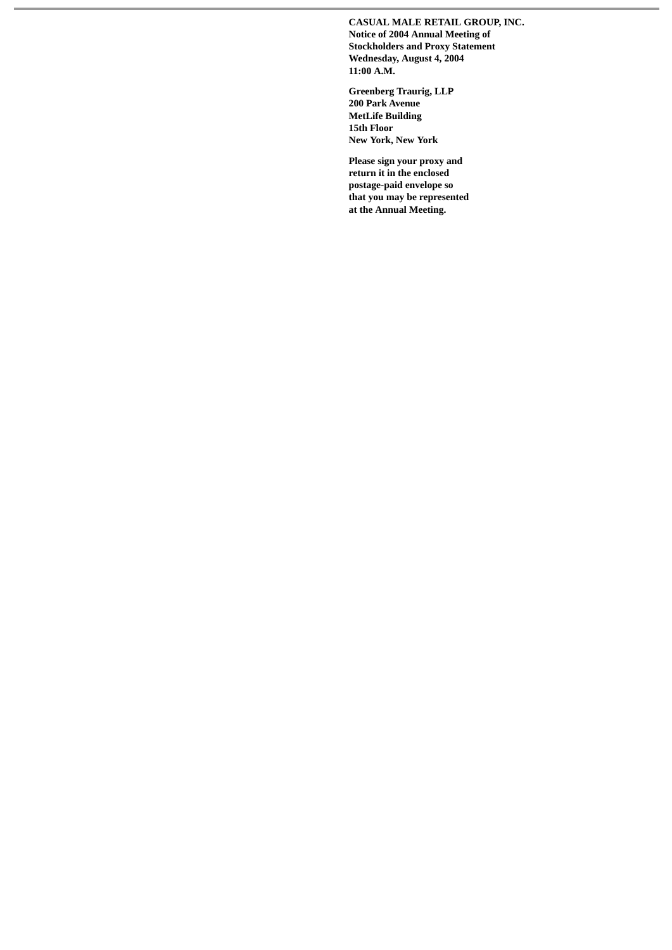**CASUAL MALE RETAIL GROUP, INC. Notice of 2004 Annual Meeting of Stockholders and Proxy Statement Wednesday, August 4, 2004 11:00 A.M.**

**Greenberg Traurig, LLP 200 Park Avenue MetLife Building 15th Floor New York, New York**

**Please sign your proxy and return it in the enclosed postage-paid envelope so that you may be represented at the Annual Meeting.**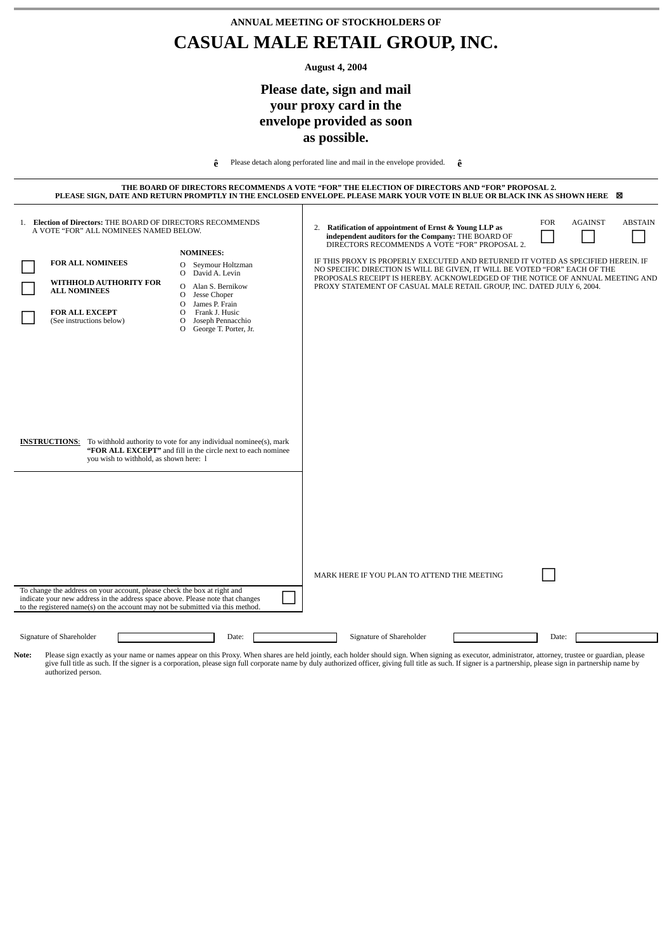# **ANNUAL MEETING OF STOCKHOLDERS OF CASUAL MALE RETAIL GROUP, INC.**

**August 4, 2004**

## **Please date, sign and mail your proxy card in the envelope provided as soon as possible.**

**ê** Please detach along perforated line and mail in the envelope provided. **ê**

| THE BOARD OF DIRECTORS RECOMMENDS A VOTE "FOR" THE ELECTION OF DIRECTORS AND "FOR" PROPOSAL 2.<br>PLEASE SIGN, DATE AND RETURN PROMPTLY IN THE ENCLOSED ENVELOPE. PLEASE MARK YOUR VOTE IN BLUE OR BLACK INK AS SHOWN HERE ⊠                 |                                                                                                                                                                                                                                 |                                                                                                                                                                                                                                                                                                                                                                                                                                                                                           |  |       |                |                |
|----------------------------------------------------------------------------------------------------------------------------------------------------------------------------------------------------------------------------------------------|---------------------------------------------------------------------------------------------------------------------------------------------------------------------------------------------------------------------------------|-------------------------------------------------------------------------------------------------------------------------------------------------------------------------------------------------------------------------------------------------------------------------------------------------------------------------------------------------------------------------------------------------------------------------------------------------------------------------------------------|--|-------|----------------|----------------|
| 1. Election of Directors: THE BOARD OF DIRECTORS RECOMMENDS<br>A VOTE "FOR" ALL NOMINEES NAMED BELOW.<br><b>FOR ALL NOMINEES</b><br>WITHHOLD AUTHORITY FOR<br><b>ALL NOMINEES</b><br><b>FOR ALL EXCEPT</b><br>(See instructions below)       | <b>NOMINEES:</b><br>O Seymour Holtzman<br>David A. Levin<br>$\Omega$<br>Alan S. Bernikow<br>$\Omega$<br>Jesse Choper<br>$\circ$<br>O James P. Frain<br>Frank J. Husic<br>0<br>Joseph Pennacchio<br>O<br>O George T. Porter, Jr. | 2. Ratification of appointment of Ernst & Young LLP as<br>independent auditors for the Company: THE BOARD OF<br>DIRECTORS RECOMMENDS A VOTE "FOR" PROPOSAL 2.<br>IF THIS PROXY IS PROPERLY EXECUTED AND RETURNED IT VOTED AS SPECIFIED HEREIN. IF<br>NO SPECIFIC DIRECTION IS WILL BE GIVEN, IT WILL BE VOTED "FOR" EACH OF THE<br>PROPOSALS RECEIPT IS HEREBY. ACKNOWLEDGED OF THE NOTICE OF ANNUAL MEETING AND<br>PROXY STATEMENT OF CASUAL MALE RETAIL GROUP, INC. DATED JULY 6, 2004. |  | FOR   | <b>AGAINST</b> | <b>ABSTAIN</b> |
| To withhold authority to vote for any individual nominee(s), mark<br><b>INSTRUCTIONS:</b><br>"FOR ALL EXCEPT" and fill in the circle next to each nominee<br>you wish to withhold, as shown here: 1                                          |                                                                                                                                                                                                                                 |                                                                                                                                                                                                                                                                                                                                                                                                                                                                                           |  |       |                |                |
| To change the address on your account, please check the box at right and<br>indicate your new address in the address space above. Please note that changes<br>to the registered name(s) on the account may not be submitted via this method. |                                                                                                                                                                                                                                 | MARK HERE IF YOU PLAN TO ATTEND THE MEETING                                                                                                                                                                                                                                                                                                                                                                                                                                               |  |       |                |                |
| Signature of Shareholder                                                                                                                                                                                                                     | Date:                                                                                                                                                                                                                           | Signature of Shareholder                                                                                                                                                                                                                                                                                                                                                                                                                                                                  |  | Date: |                |                |

Note: Please sign exactly as your name or names appear on this Proxy. When shares are held jointly, each holder should sign. When signing as executor, administrator, attorney, trustee or guardian, please give full title as